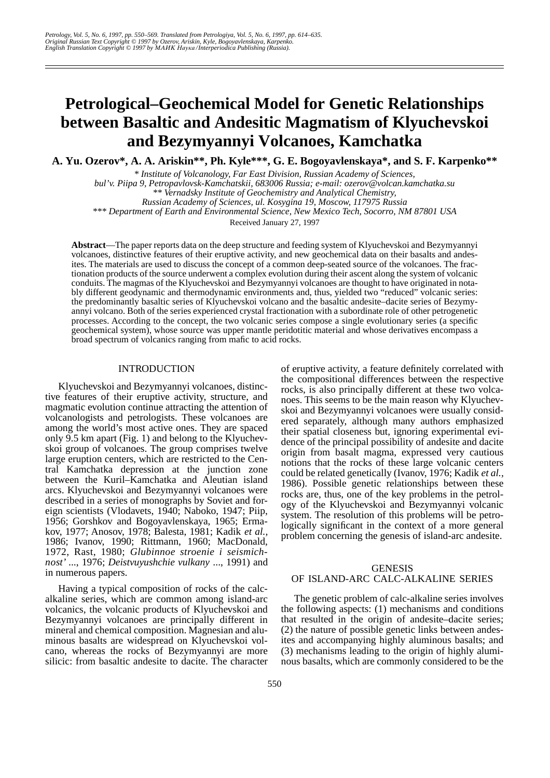# **Petrological–Geochemical Model for Genetic Relationships between Basaltic and Andesitic Magmatism of Klyuchevskoi and Bezymyannyi Volcanoes, Kamchatka**

**A. Yu. Ozerov\*, A. A. Ariskin\*\*, Ph. Kyle\*\*\*, G. E. Bogoyavlenskaya\*, and S. F. Karpenko\*\***

*\* Institute of Volcanology, Far East Division, Russian Academy of Sciences,* 

*bul'v. Piipa 9, Petropavlovsk-Kamchatskii, 683006 Russia; e-mail: ozerov@volcan.kamchatka.su*

*Russian Academy of Sciences, ul. Kosygina 19, Moscow, 117975 Russia \*\*\* Department of Earth and Environmental Science, New Mexico Tech, Socorro, NM 87801 USA*

Received January 27, 1997

**Abstract**—The paper reports data on the deep structure and feeding system of Klyuchevskoi and Bezymyannyi volcanoes, distinctive features of their eruptive activity, and new geochemical data on their basalts and andesites. The materials are used to discuss the concept of a common deep-seated source of the volcanoes. The fractionation products of the source underwent a complex evolution during their ascent along the system of volcanic conduits. The magmas of the Klyuchevskoi and Bezymyannyi volcanoes are thought to have originated in notably different geodynamic and thermodynamic environments and, thus, yielded two "reduced" volcanic series: the predominantly basaltic series of Klyuchevskoi volcano and the basaltic andesite–dacite series of Bezymyannyi volcano. Both of the series experienced crystal fractionation with a subordinate role of other petrogenetic processes. According to the concept, the two volcanic series compose a single evolutionary series (a specific geochemical system), whose source was upper mantle peridotitic material and whose derivatives encompass a broad spectrum of volcanics ranging from mafic to acid rocks.

## INTRODUCTION

Klyuchevskoi and Bezymyannyi volcanoes, distinctive features of their eruptive activity, structure, and magmatic evolution continue attracting the attention of volcanologists and petrologists. These volcanoes are among the world's most active ones. They are spaced only 9.5 km apart (Fig. 1) and belong to the Klyuchevskoi group of volcanoes. The group comprises twelve large eruption centers, which are restricted to the Central Kamchatka depression at the junction zone between the Kuril–Kamchatka and Aleutian island arcs. Klyuchevskoi and Bezymyannyi volcanoes were described in a series of monographs by Soviet and foreign scientists (Vlodavets, 1940; Naboko, 1947; Piip, 1956; Gorshkov and Bogoyavlenskaya, 1965; Ermakov, 1977; Anosov, 1978; Balesta, 1981; Kadik *et al.,* 1986; Ivanov, 1990; Rittmann, 1960; MacDonald, 1972, Rast, 1980; *Glubinnoe stroenie i seismichnost'* ..., 1976; *Deistvuyushchie vulkany* ..., 1991) and in numerous papers.

Having a typical composition of rocks of the calcalkaline series, which are common among island-arc volcanics, the volcanic products of Klyuchevskoi and Bezymyannyi volcanoes are principally different in mineral and chemical composition. Magnesian and aluminous basalts are widespread on Klyuchevskoi volcano, whereas the rocks of Bezymyannyi are more silicic: from basaltic andesite to dacite. The character

of eruptive activity, a feature definitely correlated with the compositional differences between the respective rocks, is also principally different at these two volcanoes. This seems to be the main reason why Klyuchevskoi and Bezymyannyi volcanoes were usually considered separately, although many authors emphasized their spatial closeness but, ignoring experimental evidence of the principal possibility of andesite and dacite origin from basalt magma, expressed very cautious notions that the rocks of these large volcanic centers could be related genetically (Ivanov, 1976; Kadik *et al.,* 1986). Possible genetic relationships between these rocks are, thus, one of the key problems in the petrology of the Klyuchevskoi and Bezymyannyi volcanic system. The resolution of this problems will be petrologically significant in the context of a more general problem concerning the genesis of island-arc andesite.

# **GENESIS**

# OF ISLAND-ARC CALC-ALKALINE SERIES

The genetic problem of calc-alkaline series involves the following aspects: (1) mechanisms and conditions that resulted in the origin of andesite–dacite series; (2) the nature of possible genetic links between andesites and accompanying highly aluminous basalts; and (3) mechanisms leading to the origin of highly aluminous basalts, which are commonly considered to be the

*<sup>\*\*</sup> Vernadsky Institute of Geochemistry and Analytical Chemistry,*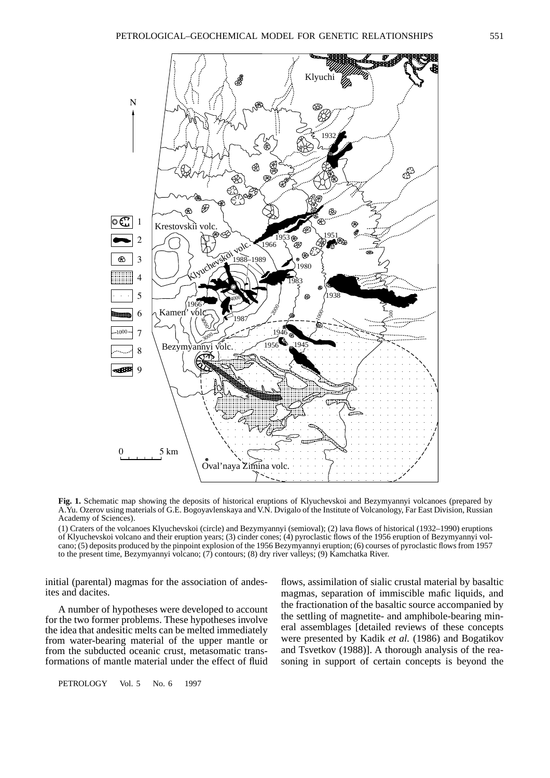

**Fig. 1.** Schematic map showing the deposits of historical eruptions of Klyuchevskoi and Bezymyannyi volcanoes (prepared by A.Yu. Ozerov using materials of G.E. Bogoyavlenskaya and V.N. Dvigalo of the Institute of Volcanology, Far East Division, Russian Academy of Sciences).

Oval'naya Zimina volc.

(1) Craters of the volcanoes Klyuchevskoi (circle) and Bezymyannyi (semioval); (2) lava flows of historical (1932–1990) eruptions of Klyuchevskoi volcano and their eruption years; (3) cinder cones; (4) pyroclastic flows of the 1956 eruption of Bezymyannyi volcano; (5) deposits produced by the pinpoint explosion of the 1956 Bezymyannyi eruption; (6) courses of pyroclastic flows from 1957 to the present time, Bezymyannyi volcano; (7) contours; (8) dry river valleys; (9) Kamchatka River.

initial (parental) magmas for the association of andesites and dacites.

 $5 km$ 

Bezy

Kamen

A number of hypotheses were developed to account for the two former problems. These hypotheses involve the idea that andesitic melts can be melted immediately from water-bearing material of the upper mantle or from the subducted oceanic crust, metasomatic transformations of mantle material under the effect of fluid flows, assimilation of sialic crustal material by basaltic magmas, separation of immiscible mafic liquids, and the fractionation of the basaltic source accompanied by the settling of magnetite- and amphibole-bearing mineral assemblages [detailed reviews of these concepts were presented by Kadik *et al.* (1986) and Bogatikov and Tsvetkov (1988)]. A thorough analysis of the reasoning in support of certain concepts is beyond the

PETROLOGY Vol. 5 No. 6 1997

1000

st®

N

1  $\mathcal{I}$ 

ంటా

⊛

3 4

5 6

7 8  $\overline{c}$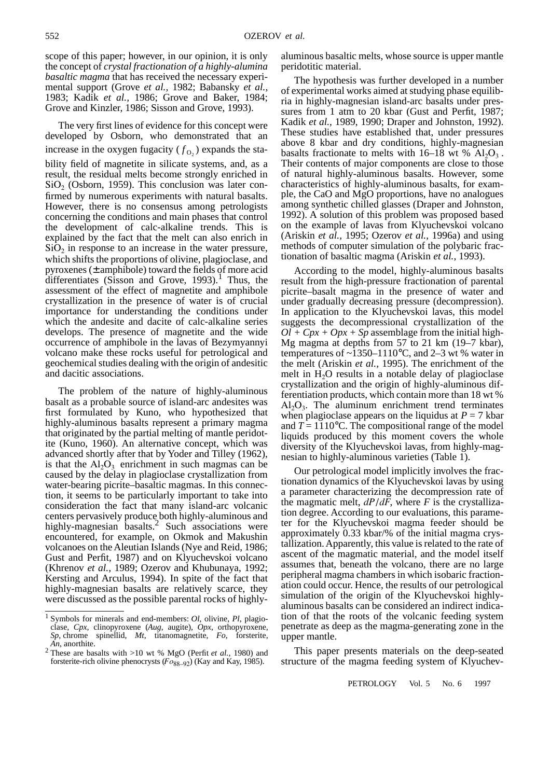scope of this paper; however, in our opinion, it is only the concept of *crystal fractionation of a highly-alumina basaltic magma* that has received the necessary experimental support (Grove *et al.,* 1982; Babansky *et al.,* 1983; Kadik *et al.,* 1986; Grove and Baker, 1984; Grove and Kinzler, 1986; Sisson and Grove, 1993).

The very first lines of evidence for this concept were developed by Osborn, who demonstrated that an increase in the oxygen fugacity  $(f_{O_2})$  expands the stability field of magnetite in silicate systems, and, as a result, the residual melts become strongly enriched in  $SiO<sub>2</sub>$  (Osborn, 1959). This conclusion was later confirmed by numerous experiments with natural basalts. However, there is no consensus among petrologists concerning the conditions and main phases that control the development of calc-alkaline trends. This is explained by the fact that the melt can also enrich in  $SiO<sub>2</sub>$  in response to an increase in the water pressure, which shifts the proportions of olivine, plagioclase, and pyroxenes  $(\pm$  amphibole) toward the fields of more acid differentiates (Sisson and Grove,  $1993$ ).<sup>1</sup> Thus, the assessment of the effect of magnetite and amphibole crystallization in the presence of water is of crucial importance for understanding the conditions under which the andesite and dacite of calc-alkaline series develops. The presence of magnetite and the wide occurrence of amphibole in the lavas of Bezymyannyi volcano make these rocks useful for petrological and geochemical studies dealing with the origin of andesitic and dacitic associations.

The problem of the nature of highly-aluminous basalt as a probable source of island-arc andesites was first formulated by Kuno, who hypothesized that highly-aluminous basalts represent a primary magma that originated by the partial melting of mantle peridotite (Kuno, 1960). An alternative concept, which was advanced shortly after that by Yoder and Tilley (1962), is that the  $Al_2O_3$  enrichment in such magmas can be caused by the delay in plagioclase crystallization from water-bearing picrite–basaltic magmas. In this connection, it seems to be particularly important to take into consideration the fact that many island-arc volcanic centers pervasively produce both highly-aluminous and highly-magnesian basalts.<sup>2</sup> Such associations were encountered, for example, on Okmok and Makushin volcanoes on the Aleutian Islands (Nye and Reid, 1986; Gust and Perfit, 1987) and on Klyuchevskoi volcano (Khrenov *et al.,* 1989; Ozerov and Khubunaya, 1992; Kersting and Arculus, 1994). In spite of the fact that highly-magnesian basalts are relatively scarce, they were discussed as the possible parental rocks of highlyaluminous basaltic melts, whose source is upper mantle peridotitic material.

The hypothesis was further developed in a number of experimental works aimed at studying phase equilibria in highly-magnesian island-arc basalts under pressures from 1 atm to 20 kbar (Gust and Perfit, 1987; Kadik *et al.,* 1989, 1990; Draper and Johnston, 1992). These studies have established that, under pressures above 8 kbar and dry conditions, highly-magnesian basalts fractionate to melts with  $16-18$  wt %  $Al_2O_3$ . Their contents of major components are close to those of natural highly-aluminous basalts. However, some characteristics of highly-aluminous basalts, for example, the CaO and MgO proportions, have no analogues among synthetic chilled glasses (Draper and Johnston, 1992). A solution of this problem was proposed based on the example of lavas from Klyuchevskoi volcano (Ariskin *et al.,* 1995; Ozerov *et al.,* 1996a) and using methods of computer simulation of the polybaric fractionation of basaltic magma (Ariskin *et al.,* 1993).

According to the model, highly-aluminous basalts result from the high-pressure fractionation of parental picrite–basalt magma in the presence of water and under gradually decreasing pressure (decompression). In application to the Klyuchevskoi lavas, this model suggests the decompressional crystallization of the  $Ql + Cpx + Opx + Sp$  assemblage from the initial high-Mg magma at depths from 57 to 21 km (19–7 kbar), temperatures of  $\sim$ 1350–1110°C, and 2–3 wt % water in the melt (Ariskin *et al.,* 1995). The enrichment of the melt in  $H_2O$  results in a notable delay of plagioclase crystallization and the origin of highly-aluminous differentiation products, which contain more than 18 wt %  $Al_2O_3$ . The aluminum enrichment trend terminates when plagioclase appears on the liquidus at  $P = 7$  kbar and  $T = 1110$ °C. The compositional range of the model liquids produced by this moment covers the whole diversity of the Klyuchevskoi lavas, from highly-magnesian to highly-aluminous varieties (Table 1).

Our petrological model implicitly involves the fractionation dynamics of the Klyuchevskoi lavas by using a parameter characterizing the decompression rate of the magmatic melt, *dP*/*dF*, where *F* is the crystallization degree. According to our evaluations, this parameter for the Klyuchevskoi magma feeder should be approximately 0.33 kbar/% of the initial magma crystallization. Apparently, this value is related to the rate of ascent of the magmatic material, and the model itself assumes that, beneath the volcano, there are no large peripheral magma chambers in which isobaric fractionation could occur. Hence, the results of our petrological simulation of the origin of the Klyuchevskoi highlyaluminous basalts can be considered an indirect indication of that the roots of the volcanic feeding system penetrate as deep as the magma-generating zone in the upper mantle.

This paper presents materials on the deep-seated structure of the magma feeding system of Klyuchev-

<sup>1</sup> Symbols for minerals and end-members: *Ol*, olivine, *Pl*, plagioclase, *Cpx,* clinopyroxene (*Aug*, augite), *Opx*, orthopyroxene, *Sp*, chrome spinellid, *Mt*, titanomagnetite, *Fo*, forsterite, *An*, anorthite.

<sup>2</sup> These are basalts with >10 wt % MgO (Perfit *et al.,* 1980) and forsterite-rich olivine phenocrysts ( $F \text{o}_{88-92}$ ) (Kay and Kay, 1985).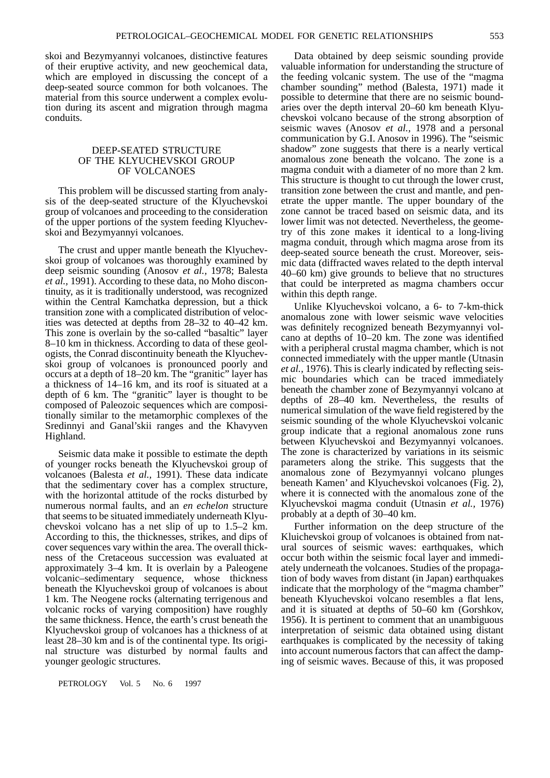skoi and Bezymyannyi volcanoes, distinctive features of their eruptive activity, and new geochemical data, which are employed in discussing the concept of a deep-seated source common for both volcanoes. The material from this source underwent a complex evolution during its ascent and migration through magma conduits.

# DEEP-SEATED STRUCTURE OF THE KLYUCHEVSKOI GROUP OF VOLCANOES

This problem will be discussed starting from analysis of the deep-seated structure of the Klyuchevskoi group of volcanoes and proceeding to the consideration of the upper portions of the system feeding Klyuchevskoi and Bezymyannyi volcanoes.

The crust and upper mantle beneath the Klyuchevskoi group of volcanoes was thoroughly examined by deep seismic sounding (Anosov *et al.,* 1978; Balesta *et al.,* 1991). According to these data, no Moho discontinuity, as it is traditionally understood, was recognized within the Central Kamchatka depression, but a thick transition zone with a complicated distribution of velocities was detected at depths from 28–32 to 40–42 km. This zone is overlain by the so-called "basaltic" layer 8–10 km in thickness. According to data of these geologists, the Conrad discontinuity beneath the Klyuchevskoi group of volcanoes is pronounced poorly and occurs at a depth of 18–20 km. The "granitic" layer has a thickness of 14–16 km, and its roof is situated at a depth of 6 km. The "granitic" layer is thought to be composed of Paleozoic sequences which are compositionally similar to the metamorphic complexes of the Sredinnyi and Ganal'skii ranges and the Khavyven Highland.

Seismic data make it possible to estimate the depth of younger rocks beneath the Klyuchevskoi group of volcanoes (Balesta *et al.,* 1991). These data indicate that the sedimentary cover has a complex structure, with the horizontal attitude of the rocks disturbed by numerous normal faults, and an *en echelon* structure that seems to be situated immediately underneath Klyuchevskoi volcano has a net slip of up to 1.5–2 km. According to this, the thicknesses, strikes, and dips of cover sequences vary within the area. The overall thickness of the Cretaceous succession was evaluated at approximately 3–4 km. It is overlain by a Paleogene volcanic–sedimentary sequence, whose thickness beneath the Klyuchevskoi group of volcanoes is about 1 km. The Neogene rocks (alternating terrigenous and volcanic rocks of varying composition) have roughly the same thickness. Hence, the earth's crust beneath the Klyuchevskoi group of volcanoes has a thickness of at least 28–30 km and is of the continental type. Its original structure was disturbed by normal faults and younger geologic structures.

Data obtained by deep seismic sounding provide valuable information for understanding the structure of the feeding volcanic system. The use of the "magma chamber sounding" method (Balesta, 1971) made it possible to determine that there are no seismic boundaries over the depth interval 20–60 km beneath Klyuchevskoi volcano because of the strong absorption of seismic waves (Anosov *et al.*, 1978 and a personal communication by G.I. Anosov in 1996). The "seismic shadow" zone suggests that there is a nearly vertical anomalous zone beneath the volcano. The zone is a magma conduit with a diameter of no more than 2 km. This structure is thought to cut through the lower crust, transition zone between the crust and mantle, and penetrate the upper mantle. The upper boundary of the zone cannot be traced based on seismic data, and its lower limit was not detected. Nevertheless, the geometry of this zone makes it identical to a long-living magma conduit, through which magma arose from its deep-seated source beneath the crust. Moreover, seismic data (diffracted waves related to the depth interval 40–60 km) give grounds to believe that no structures that could be interpreted as magma chambers occur within this depth range.

Unlike Klyuchevskoi volcano, a 6- to 7-km-thick anomalous zone with lower seismic wave velocities was definitely recognized beneath Bezymyannyi volcano at depths of 10–20 km. The zone was identified with a peripheral crustal magma chamber, which is not connected immediately with the upper mantle (Utnasin *et al.,* 1976). This is clearly indicated by reflecting seismic boundaries which can be traced immediately beneath the chamber zone of Bezymyannyi volcano at depths of 28–40 km. Nevertheless, the results of numerical simulation of the wave field registered by the seismic sounding of the whole Klyuchevskoi volcanic group indicate that a regional anomalous zone runs between Klyuchevskoi and Bezymyannyi volcanoes. The zone is characterized by variations in its seismic parameters along the strike. This suggests that the anomalous zone of Bezymyannyi volcano plunges beneath Kamen' and Klyuchevskoi volcanoes (Fig. 2), where it is connected with the anomalous zone of the Klyuchevskoi magma conduit (Utnasin *et al.,* 1976) probably at a depth of 30–40 km.

Further information on the deep structure of the Kluichevskoi group of volcanoes is obtained from natural sources of seismic waves: earthquakes, which occur both within the seismic focal layer and immediately underneath the volcanoes. Studies of the propagation of body waves from distant (in Japan) earthquakes indicate that the morphology of the "magma chamber" beneath Klyuchevskoi volcano resembles a flat lens, and it is situated at depths of 50–60 km (Gorshkov, 1956). It is pertinent to comment that an unambiguous interpretation of seismic data obtained using distant earthquakes is complicated by the necessity of taking into account numerous factors that can affect the damping of seismic waves. Because of this, it was proposed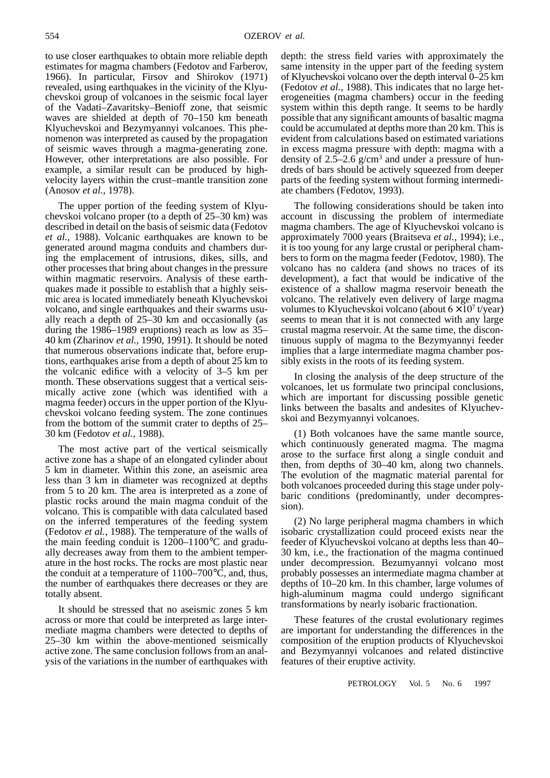to use closer earthquakes to obtain more reliable depth estimates for magma chambers (Fedotov and Farberov, 1966). In particular, Firsov and Shirokov (1971) revealed, using earthquakes in the vicinity of the Klyuchevskoi group of volcanoes in the seismic focal layer of the Vadati–Zavaritsky–Benioff zone, that seismic waves are shielded at depth of 70–150 km beneath Klyuchevskoi and Bezymyannyi volcanoes. This phenomenon was interpreted as caused by the propagation of seismic waves through a magma-generating zone. However, other interpretations are also possible. For example, a similar result can be produced by highvelocity layers within the crust–mantle transition zone (Anosov *et al.,* 1978).

The upper portion of the feeding system of Klyuchevskoi volcano proper (to a depth of 25–30 km) was described in detail on the basis of seismic data (Fedotov *et al.,* 1988). Volcanic earthquakes are known to be generated around magma conduits and chambers during the emplacement of intrusions, dikes, sills, and other processes that bring about changes in the pressure within magmatic reservoirs. Analysis of these earthquakes made it possible to establish that a highly seismic area is located immediately beneath Klyuchevskoi volcano, and single earthquakes and their swarms usually reach a depth of 25–30 km and occasionally (as during the 1986–1989 eruptions) reach as low as 35– 40 km (Zharinov *et al.,* 1990, 1991). It should be noted that numerous observations indicate that, before eruptions, earthquakes arise from a depth of about 25 km to the volcanic edifice with a velocity of 3–5 km per month. These observations suggest that a vertical seismically active zone (which was identified with a magma feeder) occurs in the upper portion of the Klyuchevskoi volcano feeding system. The zone continues from the bottom of the summit crater to depths of 25– 30 km (Fedotov *et al.,* 1988).

The most active part of the vertical seismically active zone has a shape of an elongated cylinder about 5 km in diameter. Within this zone, an aseismic area less than 3 km in diameter was recognized at depths from 5 to 20 km. The area is interpreted as a zone of plastic rocks around the main magma conduit of the volcano. This is compatible with data calculated based on the inferred temperatures of the feeding system (Fedotov *et al.,* 1988). The temperature of the walls of the main feeding conduit is 1200–1100°C and gradually decreases away from them to the ambient temperature in the host rocks. The rocks are most plastic near the conduit at a temperature of  $1100-700^{\circ}$ C, and, thus, the number of earthquakes there decreases or they are totally absent.

It should be stressed that no aseismic zones 5 km across or more that could be interpreted as large intermediate magma chambers were detected to depths of 25–30 km within the above-mentioned seismically active zone. The same conclusion follows from an analysis of the variations in the number of earthquakes with

depth: the stress field varies with approximately the same intensity in the upper part of the feeding system of Klyuchevskoi volcano over the depth interval 0–25 km (Fedotov *et al.,* 1988). This indicates that no large heterogeneities (magma chambers) occur in the feeding system within this depth range. It seems to be hardly possible that any significant amounts of basaltic magma could be accumulated at depths more than 20 km. This is evident from calculations based on estimated variations in excess magma pressure with depth: magma with a density of  $2.5-2.6$  g/cm<sup>3</sup> and under a pressure of hundreds of bars should be actively squeezed from deeper parts of the feeding system without forming intermediate chambers (Fedotov, 1993).

The following considerations should be taken into account in discussing the problem of intermediate magma chambers. The age of Klyuchevskoi volcano is approximately 7000 years (Braitseva *et al.,* 1994); i.e., it is too young for any large crustal or peripheral chambers to form on the magma feeder (Fedotov, 1980). The volcano has no caldera (and shows no traces of its development), a fact that would be indicative of the existence of a shallow magma reservoir beneath the volcano. The relatively even delivery of large magma volumes to Klyuchevskoi volcano (about  $6 \times 10^7$  t/year) seems to mean that it is not connected with any large crustal magma reservoir. At the same time, the discontinuous supply of magma to the Bezymyannyi feeder implies that a large intermediate magma chamber possibly exists in the roots of its feeding system.

In closing the analysis of the deep structure of the volcanoes, let us formulate two principal conclusions, which are important for discussing possible genetic links between the basalts and andesites of Klyuchevskoi and Bezymyannyi volcanoes.

(1) Both volcanoes have the same mantle source, which continuously generated magma. The magma arose to the surface first along a single conduit and then, from depths of 30–40 km, along two channels. The evolution of the magmatic material parental for both volcanoes proceeded during this stage under polybaric conditions (predominantly, under decompression).

(2) No large peripheral magma chambers in which isobaric crystallization could proceed exists near the feeder of Klyuchevskoi volcano at depths less than 40– 30 km, i.e., the fractionation of the magma continued under decompression. Bezumyannyi volcano most probably possesses an intermediate magma chamber at depths of 10–20 km. In this chamber, large volumes of high-aluminum magma could undergo significant transformations by nearly isobaric fractionation.

These features of the crustal evolutionary regimes are important for understanding the differences in the composition of the eruption products of Klyuchevskoi and Bezymyannyi volcanoes and related distinctive features of their eruptive activity.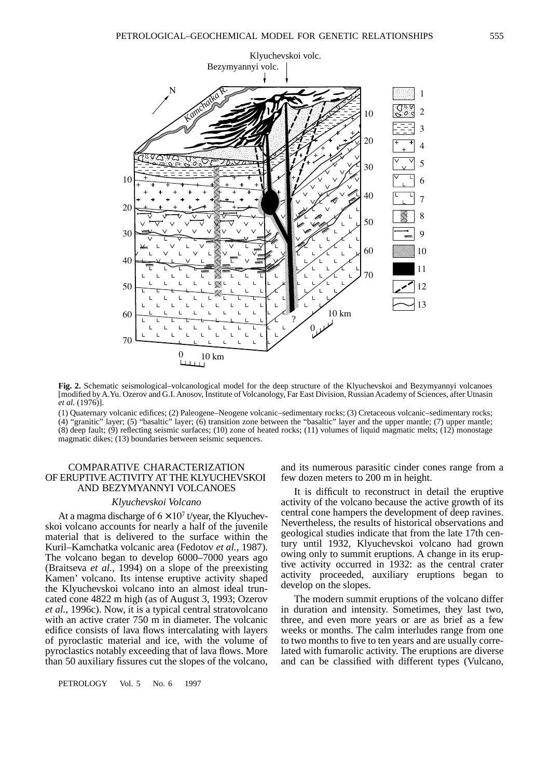

**Fig. 2.** Schematic seismological–volcanological model for the deep structure of the Klyuchevskoi and Bezymyannyi volcanoes [modified by A.Yu. Ozerov and G.I. Anosov, Institute of Volcanology, Far East Division, Russian Academy of Sciences, after Utnasin *et al.* (1976)].

(1) Quaternary volcanic edifices; (2) Paleogene–Neogene volcanic–sedimentary rocks; (3) Cretaceous volcanic–sedimentary rocks; (4) "granitic" layer; (5) "basaltic" layer; (6) transition zone between the "basaltic" layer and the upper mantle; (7) upper mantle; (8) deep fault; (9) reflecting seismic surfaces; (10) zone of heated rocks; (11) volumes of liquid magmatic melts; (12) monostage magmatic dikes; (13) boundaries between seismic sequences.

# COMPARATIVE CHARACTERIZATION OF ERUPTIVE ACTIVITY AT THE KLYUCHEVSKOI AND BEZYMYANNYI VOLCANOES

#### *Klyuchevskoi Volcano*

At a magma discharge of  $6 \times 10^7$  t/year, the Klyuchevskoi volcano accounts for nearly a half of the juvenile material that is delivered to the surface within the Kuril–Kamchatka volcanic area (Fedotov *et al.,* 1987). The volcano began to develop 6000–7000 years ago (Braitseva *et al.,* 1994) on a slope of the preexisting Kamen' volcano. Its intense eruptive activity shaped the Klyuchevskoi volcano into an almost ideal truncated cone 4822 m high (as of August 3, 1993; Ozerov *et al.,* 1996c). Now, it is a typical central stratovolcano with an active crater 750 m in diameter. The volcanic edifice consists of lava flows intercalating with layers of pyroclastic material and ice, with the volume of pyroclastics notably exceeding that of lava flows. More than 50 auxiliary fissures cut the slopes of the volcano, **EXERCISE AND BEZYMANNYLY**<br>
And an active crace and (Brain Solution 1994) on a slot (Brain Solution 2001).<br>
The EXERCIT AND BEZYMANNYLY (See The Unit of the Solution 2001) and the slot (1976).<br>
The EXERCIT AND BEZYMANNYLY

PETROLOGY Vol. 5 No. 6 1997

and its numerous parasitic cinder cones range from a few dozen meters to 200 m in height.

It is difficult to reconstruct in detail the eruptive activity of the volcano because the active growth of its central cone hampers the development of deep ravines. Nevertheless, the results of historical observations and geological studies indicate that from the late 17th century until 1932, Klyuchevskoi volcano had grown owing only to summit eruptions. A change in its eruptive activity occurred in 1932: as the central crater activity proceeded, auxiliary eruptions began to develop on the slopes.

The modern summit eruptions of the volcano differ in duration and intensity. Sometimes, they last two, three, and even more years or are as brief as a few weeks or months. The calm interludes range from one to two months to five to ten years and are usually correlated with fumarolic activity. The eruptions are diverse and can be classified with different types (Vulcano,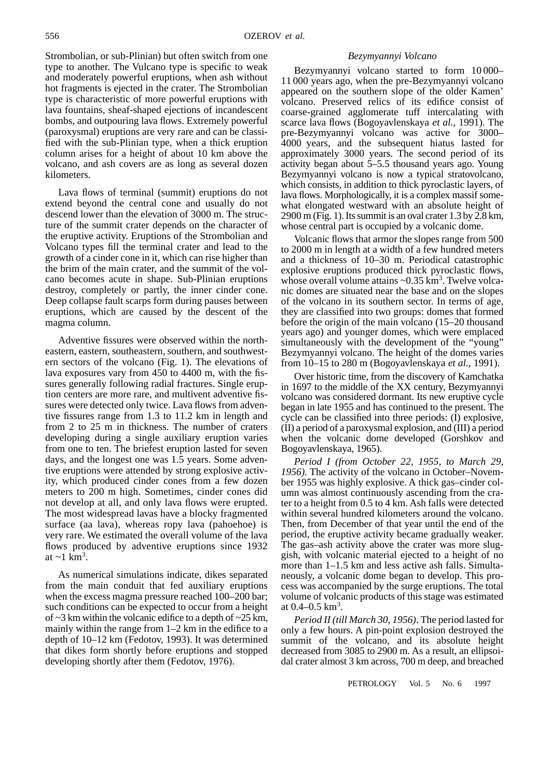Strombolian, or sub-Plinian) but often switch from one type to another. The Vulcano type is specific to weak and moderately powerful eruptions, when ash without hot fragments is ejected in the crater. The Strombolian type is characteristic of more powerful eruptions with lava fountains, sheaf-shaped ejections of incandescent bombs, and outpouring lava flows. Extremely powerful (paroxysmal) eruptions are very rare and can be classified with the sub-Plinian type, when a thick eruption column arises for a height of about 10 km above the volcano, and ash covers are as long as several dozen kilometers.

Lava flows of terminal (summit) eruptions do not extend beyond the central cone and usually do not descend lower than the elevation of 3000 m. The structure of the summit crater depends on the character of the eruptive activity. Eruptions of the Strombolian and Volcano types fill the terminal crater and lead to the growth of a cinder cone in it, which can rise higher than the brim of the main crater, and the summit of the volcano becomes acute in shape. Sub-Plinian eruptions destroy, completely or partly, the inner cinder cone. Deep collapse fault scarps form during pauses between eruptions, which are caused by the descent of the magma column.

Adventive fissures were observed within the northeastern, eastern, southeastern, southern, and southwestern sectors of the volcano (Fig. 1). The elevations of lava exposures vary from 450 to 4400 m, with the fissures generally following radial fractures. Single eruption centers are more rare, and multivent adventive fissures were detected only twice. Lava flows from adventive fissures range from 1.3 to 11.2 km in length and from 2 to 25 m in thickness. The number of craters developing during a single auxiliary eruption varies from one to ten. The briefest eruption lasted for seven days, and the longest one was 1.5 years. Some adventive eruptions were attended by strong explosive activity, which produced cinder cones from a few dozen meters to 200 m high. Sometimes, cinder cones did not develop at all, and only lava flows were erupted. The most widespread lavas have a blocky fragmented surface (aa lava), whereas ropy lava (pahoehoe) is very rare. We estimated the overall volume of the lava flows produced by adventive eruptions since 1932 at  $\sim$ 1 km<sup>3</sup>.

As numerical simulations indicate, dikes separated from the main conduit that fed auxiliary eruptions when the excess magma pressure reached 100–200 bar; such conditions can be expected to occur from a height of  $\sim$ 3 km within the volcanic edifice to a depth of  $\sim$ 25 km, mainly within the range from 1–2 km in the edifice to a depth of 10–12 km (Fedotov, 1993). It was determined that dikes form shortly before eruptions and stopped developing shortly after them (Fedotov, 1976).

## *Bezymyannyi Volcano*

Bezymyannyi volcano started to form 10 000– 11 000 years ago, when the pre-Bezymyannyi volcano appeared on the southern slope of the older Kamen' volcano. Preserved relics of its edifice consist of coarse-grained agglomerate tuff intercalating with scarce lava flows (Bogoyavlenskaya *et al.,* 1991). The pre-Bezymyannyi volcano was active for 3000– 4000 years, and the subsequent hiatus lasted for approximately 3000 years. The second period of its activity began about 5–5.5 thousand years ago. Young Bezymyannyi volcano is now a typical stratovolcano, which consists, in addition to thick pyroclastic layers, of lava flows. Morphologically, it is a complex massif somewhat elongated westward with an absolute height of 2900 m (Fig. 1). Its summit is an oval crater 1.3 by 2.8 km, whose central part is occupied by a volcanic dome.

Volcanic flows that armor the slopes range from 500 to 2000 m in length at a width of a few hundred meters and a thickness of 10–30 m. Periodical catastrophic explosive eruptions produced thick pyroclastic flows, whose overall volume attains ~0.35 km<sup>3</sup>. Twelve volcanic domes are situated near the base and on the slopes of the volcano in its southern sector. In terms of age, they are classified into two groups: domes that formed before the origin of the main volcano (15–20 thousand years ago) and younger domes, which were emplaced simultaneously with the development of the "young" Bezymyannyi volcano. The height of the domes varies from 10–15 to 280 m (Bogoyavlenskaya *et al.,* 1991).

Over historic time, from the discovery of Kamchatka in 1697 to the middle of the XX century, Bezymyannyi volcano was considered dormant. Its new eruptive cycle began in late 1955 and has continued to the present. The cycle can be classified into three periods: (I) explosive, (II) a period of a paroxysmal explosion, and (III) a period when the volcanic dome developed (Gorshkov and Bogoyavlenskaya, 1965).

*Period I (from October 22, 1955, to March 29, 1956).* The activity of the volcano in October–November 1955 was highly explosive. A thick gas–cinder column was almost continuously ascending from the crater to a height from 0.5 to 4 km. Ash falls were detected within several hundred kilometers around the volcano. Then, from December of that year until the end of the period, the eruptive activity became gradually weaker. The gas–ash activity above the crater was more sluggish, with volcanic material ejected to a height of no more than 1–1.5 km and less active ash falls. Simultaneously, a volcanic dome began to develop. This process was accompanied by the surge eruptions. The total volume of volcanic products of this stage was estimated at  $0.4 - 0.5$  km<sup>3</sup>.

*Period II (till March 30, 1956)*. The period lasted for only a few hours. A pin-point explosion destroyed the summit of the volcano, and its absolute height decreased from 3085 to 2900 m. As a result, an ellipsoidal crater almost 3 km across, 700 m deep, and breached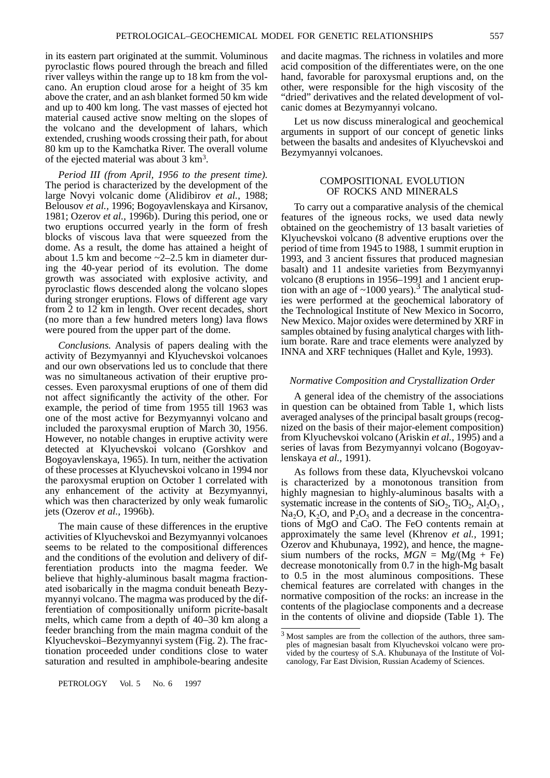in its eastern part originated at the summit. Voluminous pyroclastic flows poured through the breach and filled river valleys within the range up to 18 km from the volcano. An eruption cloud arose for a height of 35 km above the crater, and an ash blanket formed 50 km wide and up to 400 km long. The vast masses of ejected hot material caused active snow melting on the slopes of the volcano and the development of lahars, which extended, crushing woods crossing their path, for about 80 km up to the Kamchatka River. The overall volume of the ejected material was about  $3 \text{ km}^3$ .

*Period III (from April, 1956 to the present time).* The period is characterized by the development of the large Novyi volcanic dome (Alidibirov *et al.*, 1988; Belousov *et al.,* 1996; Bogoyavlenskaya and Kirsanov, 1981; Ozerov *et al.,* 1996b). During this period, one or two eruptions occurred yearly in the form of fresh blocks of viscous lava that were squeezed from the dome. As a result, the dome has attained a height of about 1.5 km and become ~2–2.5 km in diameter during the 40-year period of its evolution. The dome growth was associated with explosive activity, and pyroclastic flows descended along the volcano slopes during stronger eruptions. Flows of different age vary from 2 to 12 km in length. Over recent decades, short (no more than a few hundred meters long) lava flows were poured from the upper part of the dome.

*Conclusions.* Analysis of papers dealing with the activity of Bezymyannyi and Klyuchevskoi volcanoes and our own observations led us to conclude that there was no simultaneous activation of their eruptive processes. Even paroxysmal eruptions of one of them did not affect significantly the activity of the other. For example, the period of time from 1955 till 1963 was one of the most active for Bezymyannyi volcano and included the paroxysmal eruption of March 30, 1956. However, no notable changes in eruptive activity were detected at Klyuchevskoi volcano (Gorshkov and Bogoyavlenskaya, 1965). In turn, neither the activation of these processes at Klyuchevskoi volcano in 1994 nor the paroxysmal eruption on October 1 correlated with any enhancement of the activity at Bezymyannyi, which was then characterized by only weak fumarolic jets (Ozerov *et al.,* 1996b).

The main cause of these differences in the eruptive activities of Klyuchevskoi and Bezymyannyi volcanoes seems to be related to the compositional differences and the conditions of the evolution and delivery of differentiation products into the magma feeder. We believe that highly-aluminous basalt magma fractionated isobarically in the magma conduit beneath Bezymyannyi volcano. The magma was produced by the differentiation of compositionally uniform picrite-basalt melts, which came from a depth of 40–30 km along a feeder branching from the main magma conduit of the Klyuchevskoi–Bezymyannyi system (Fig. 2). The fractionation proceeded under conditions close to water saturation and resulted in amphibole-bearing andesite

and dacite magmas. The richness in volatiles and more acid composition of the differentiates were, on the one hand, favorable for paroxysmal eruptions and, on the other, were responsible for the high viscosity of the "dried" derivatives and the related development of volcanic domes at Bezymyannyi volcano.

Let us now discuss mineralogical and geochemical arguments in support of our concept of genetic links between the basalts and andesites of Klyuchevskoi and Bezymyannyi volcanoes.

## COMPOSITIONAL EVOLUTION OF ROCKS AND MINERALS

To carry out a comparative analysis of the chemical features of the igneous rocks, we used data newly obtained on the geochemistry of 13 basalt varieties of Klyuchevskoi volcano (8 adventive eruptions over the period of time from 1945 to 1988, 1 summit eruption in 1993, and 3 ancient fissures that produced magnesian basalt) and 11 andesite varieties from Bezymyannyi volcano (8 eruptions in 1956–1991 and 1 ancient eruption with an age of  $\sim$ 1000 years).<sup>3</sup> The analytical studies were performed at the geochemical laboratory of the Technological Institute of New Mexico in Socorro, New Mexico. Major oxides were determined by XRF in samples obtained by fusing analytical charges with lithium borate. Rare and trace elements were analyzed by INNA and XRF techniques (Hallet and Kyle, 1993).

#### *Normative Composition and Crystallization Order*

A general idea of the chemistry of the associations in question can be obtained from Table 1, which lists averaged analyses of the principal basalt groups (recognized on the basis of their major-element composition) from Klyuchevskoi volcano (Ariskin *et al.,* 1995) and a series of lavas from Bezymyannyi volcano (Bogoyavlenskaya *et al.,* 1991).

As follows from these data, Klyuchevskoi volcano is characterized by a monotonous transition from highly magnesian to highly-aluminous basalts with a systematic increase in the contents of  $SiO<sub>2</sub>$ ,  $TiO<sub>2</sub>$ ,  $Al<sub>2</sub>O<sub>3</sub>$ ,  $Na<sub>2</sub>O$ ,  $K<sub>2</sub>O$ , and  $P<sub>2</sub>O<sub>5</sub>$  and a decrease in the concentrations of MgO and CaO. The FeO contents remain at approximately the same level (Khrenov *et al.,* 1991; Ozerov and Khubunaya, 1992), and hence, the magnesium numbers of the rocks,  $MGN = Mg/(Mg + Fe)$ decrease monotonically from 0.7 in the high-Mg basalt to 0.5 in the most aluminous compositions. These chemical features are correlated with changes in the normative composition of the rocks: an increase in the contents of the plagioclase components and a decrease in the contents of olivine and diopside (Table 1). The

<sup>3</sup> Most samples are from the collection of the authors, three samples of magnesian basalt from Klyuchevskoi volcano were provided by the courtesy of S.A. Khubunaya of the Institute of Volcanology, Far East Division, Russian Academy of Sciences.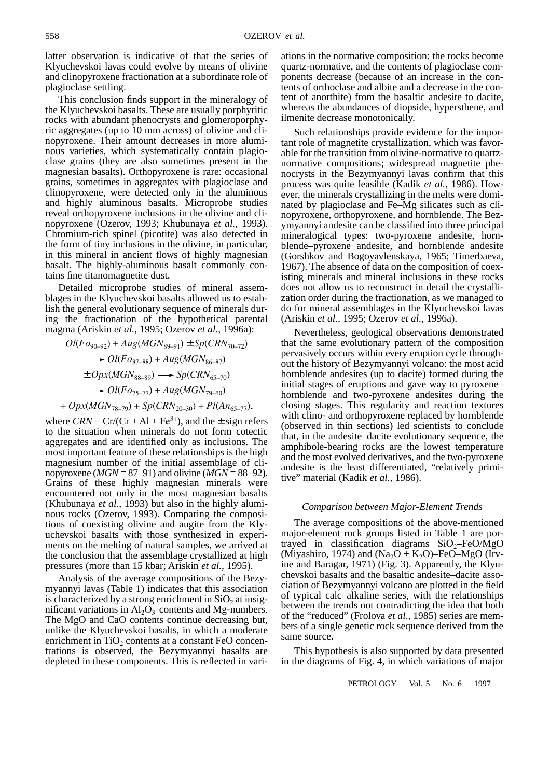latter observation is indicative of that the series of Klyuchevskoi lavas could evolve by means of olivine and clinopyroxene fractionation at a subordinate role of plagioclase settling.

This conclusion finds support in the mineralogy of the Klyuchevskoi basalts. These are usually porphyritic rocks with abundant phenocrysts and glomeroporphyric aggregates (up to 10 mm across) of olivine and clinopyroxene. Their amount decreases in more aluminous varieties, which systematically contain plagioclase grains (they are also sometimes present in the magnesian basalts). Orthopyroxene is rare: occasional grains, sometimes in aggregates with plagioclase and clinopyroxene, were detected only in the aluminous and highly aluminous basalts. Microprobe studies reveal orthopyroxene inclusions in the olivine and clinopyroxene (Ozerov, 1993; Khubunaya *et al.,* 1993). Chromium-rich spinel (picotite) was also detected in the form of tiny inclusions in the olivine, in particular, in this mineral in ancient flows of highly magnesian basalt. The highly-aluminous basalt commonly contains fine titanomagnetite dust.

Detailed microprobe studies of mineral assemblages in the Klyuchevskoi basalts allowed us to establish the general evolutionary sequence of minerals during the fractionation of the hypothetical parental magma (Ariskin *et al.,* 1995; Ozerov *et al.,* 1996a):

$$
Ol(Fo_{90-92}) + Aug(MGN_{89-91}) \pm Sp(CRN_{70-72})
$$
  
\n
$$
\longrightarrow Ol(Fo_{87-88}) + Aug(MGN_{86-87})
$$
  
\n
$$
\pm Opx(MGN_{88-89}) \longrightarrow Sp(CRN_{65-70})
$$
  
\n
$$
\longrightarrow Ol(Fo_{75-77}) + Aug(MGN_{79-80})
$$
  
\n
$$
+ Opx(MGN_{78-79}) + Sp(CRN_{20-30}) + Pl(An_{65-77}),
$$

where  $CRN = Cr/(Cr + Al + Fe^{3+})$ , and the  $\pm$  sign refers to the situation when minerals do not form cotectic aggregates and are identified only as inclusions. The most important feature of these relationships is the high magnesium number of the initial assemblage of clinopyroxene ( $MGN = 87-91$ ) and olivine ( $MGN = 88-92$ ). Grains of these highly magnesian minerals were encountered not only in the most magnesian basalts (Khubunaya *et al.,* 1993) but also in the highly aluminous rocks (Ozerov, 1993). Comparing the compositions of coexisting olivine and augite from the Klyuchevskoi basalts with those synthesized in experiments on the melting of natural samples, we arrived at the conclusion that the assemblage crystallized at high pressures (more than 15 kbar; Ariskin *et al.,* 1995).

Analysis of the average compositions of the Bezymyannyi lavas (Table 1) indicates that this association is characterized by a strong enrichment in  $SiO<sub>2</sub>$  at insignificant variations in  $Al_2O_3$  contents and Mg-numbers. The MgO and CaO contents continue decreasing but, unlike the Klyuchevskoi basalts, in which a moderate enrichment in  $TiO<sub>2</sub>$  contents at a constant FeO concentrations is observed, the Bezymyannyi basalts are depleted in these components. This is reflected in variations in the normative composition: the rocks become quartz-normative, and the contents of plagioclase components decrease (because of an increase in the contents of orthoclase and albite and a decrease in the content of anorthite) from the basaltic andesite to dacite, whereas the abundances of diopside, hypersthene, and ilmenite decrease monotonically.

Such relationships provide evidence for the important role of magnetite crystallization, which was favorable for the transition from olivine-normative to quartznormative compositions; widespread magnetite phenocrysts in the Bezymyannyi lavas confirm that this process was quite feasible (Kadik *et al.,* 1986). However, the minerals crystallizing in the melts were dominated by plagioclase and Fe–Mg silicates such as clinopyroxene, orthopyroxene, and hornblende. The Bezymyannyi andesite can be classified into three principal mineralogical types: two-pyroxene andesite, hornblende–pyroxene andesite, and hornblende andesite (Gorshkov and Bogoyavlenskaya, 1965; Timerbaeva, 1967). The absence of data on the composition of coexisting minerals and mineral inclusions in these rocks does not allow us to reconstruct in detail the crystallization order during the fractionation, as we managed to do for mineral assemblages in the Klyuchevskoi lavas (Ariskin *et al.,* 1995; Ozerov *et al.,* 1996a).

Nevertheless, geological observations demonstrated that the same evolutionary pattern of the composition pervasively occurs within every eruption cycle throughout the history of Bezymyannyi volcano: the most acid hornblende andesites (up to dacite) formed during the initial stages of eruptions and gave way to pyroxene– hornblende and two-pyroxene andesites during the closing stages. This regularity and reaction textures with clino- and orthopyroxene replaced by hornblende (observed in thin sections) led scientists to conclude that, in the andesite–dacite evolutionary sequence, the amphibole-bearing rocks are the lowest temperature and the most evolved derivatives, and the two-pyroxene andesite is the least differentiated, "relatively primitive" material (Kadik *et al.,* 1986).

#### *Comparison between Major-Element Trends*

The average compositions of the above-mentioned major-element rock groups listed in Table 1 are portrayed in classification diagrams  $SiO<sub>2</sub>$ –FeO/MgO (Miyashiro, 1974) and (Na<sub>2</sub>O + K<sub>2</sub>O)–FeO–MgO (Irvine and Baragar, 1971) (Fig. 3). Apparently, the Klyuchevskoi basalts and the basaltic andesite–dacite association of Bezymyannyi volcano are plotted in the field of typical calc–alkaline series, with the relationships between the trends not contradicting the idea that both of the "reduced" (Frolova *et al.,* 1985) series are members of a single genetic rock sequence derived from the same source.

This hypothesis is also supported by data presented in the diagrams of Fig. 4, in which variations of major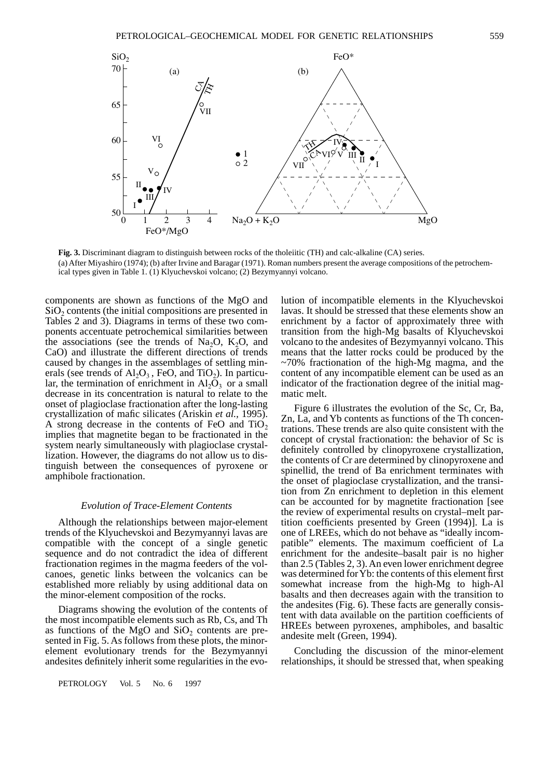

**Fig. 3.** Discriminant diagram to distinguish between rocks of the tholeiitic (TH) and calc-alkaline (CA) series. (a) After Miyashiro (1974); (b) after Irvine and Baragar (1971). Roman numbers present the average compositions of the petrochemical types given in Table 1. (1) Klyuchevskoi volcano; (2) Bezymyannyi volcano.

components are shown as functions of the MgO and  $SiO<sub>2</sub>$  contents (the initial compositions are presented in Tables 2 and 3). Diagrams in terms of these two components accentuate petrochemical similarities between the associations (see the trends of Na<sub>2</sub>O, K<sub>2</sub>O, and CaO) and illustrate the different directions of trends caused by changes in the assemblages of settling minerals (see trends of  $Al_2O_3$ , FeO, and TiO<sub>2</sub>). In particular, the termination of enrichment in  $Al_2O_3$  or a small decrease in its concentration is natural to relate to the onset of plagioclase fractionation after the long-lasting crystallization of mafic silicates (Ariskin *et al.,* 1995). A strong decrease in the contents of FeO and  $TiO<sub>2</sub>$ implies that magnetite began to be fractionated in the system nearly simultaneously with plagioclase crystallization. However, the diagrams do not allow us to distinguish between the consequences of pyroxene or amphibole fractionation.

#### *Evolution of Trace-Element Contents*

Although the relationships between major-element trends of the Klyuchevskoi and Bezymyannyi lavas are compatible with the concept of a single genetic sequence and do not contradict the idea of different fractionation regimes in the magma feeders of the volcanoes, genetic links between the volcanics can be established more reliably by using additional data on the minor-element composition of the rocks.

Diagrams showing the evolution of the contents of the most incompatible elements such as Rb, Cs, and Th as functions of the MgO and  $SiO<sub>2</sub>$  contents are presented in Fig. 5. As follows from these plots, the minorelement evolutionary trends for the Bezymyannyi andesites definitely inherit some regularities in the evo-

PETROLOGY Vol. 5 No. 6 1997

lution of incompatible elements in the Klyuchevskoi lavas. It should be stressed that these elements show an enrichment by a factor of approximately three with transition from the high-Mg basalts of Klyuchevskoi volcano to the andesites of Bezymyannyi volcano. This means that the latter rocks could be produced by the  $\sim$ 70% fractionation of the high-Mg magma, and the content of any incompatible element can be used as an indicator of the fractionation degree of the initial magmatic melt.

Figure 6 illustrates the evolution of the Sc, Cr, Ba, Zn, La, and Yb contents as functions of the Th concentrations. These trends are also quite consistent with the concept of crystal fractionation: the behavior of Sc is definitely controlled by clinopyroxene crystallization, the contents of Cr are determined by clinopyroxene and spinellid, the trend of Ba enrichment terminates with the onset of plagioclase crystallization, and the transition from Zn enrichment to depletion in this element can be accounted for by magnetite fractionation [see the review of experimental results on crystal–melt partition coefficients presented by Green (1994)]. La is one of LREEs, which do not behave as "ideally incompatible" elements. The maximum coefficient of La enrichment for the andesite–basalt pair is no higher than 2.5 (Tables 2, 3). An even lower enrichment degree was determined for Yb: the contents of this element first somewhat increase from the high-Mg to high-Al basalts and then decreases again with the transition to the andesites (Fig. 6). These facts are generally consistent with data available on the partition coefficients of HREEs between pyroxenes, amphiboles, and basaltic andesite melt (Green, 1994).

Concluding the discussion of the minor-element relationships, it should be stressed that, when speaking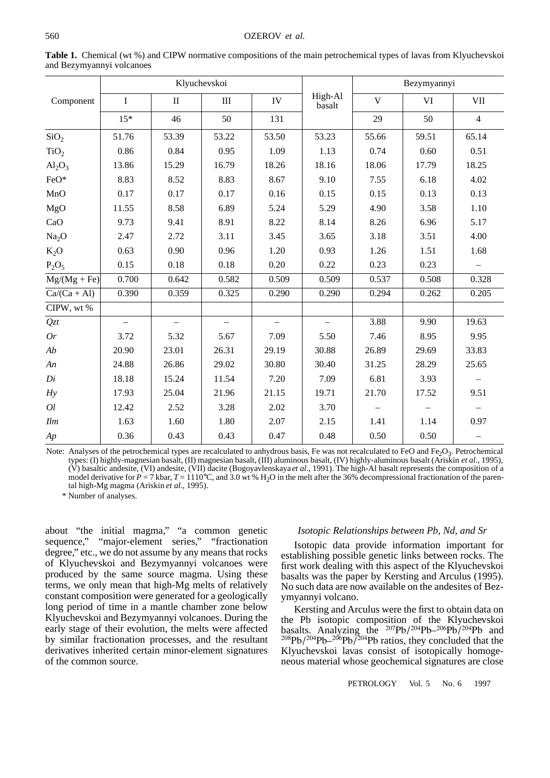|                                                |                          |                          | Klyuchevskoi             |            |                   | Bezymyannyi |       |                          |  |  |  |
|------------------------------------------------|--------------------------|--------------------------|--------------------------|------------|-------------------|-------------|-------|--------------------------|--|--|--|
| Component                                      | $\mathbf I$              | $\rm II$                 | $\rm III$                | ${\rm IV}$ | High-Al<br>basalt | $\mathbf V$ | VI    | VII                      |  |  |  |
|                                                | $15*$                    | 46                       | 50                       | 131        |                   | 29          | 50    | $\overline{4}$           |  |  |  |
| SiO <sub>2</sub>                               | 51.76                    | 53.39                    | 53.22                    | 53.50      | 53.23             | 55.66       | 59.51 | 65.14                    |  |  |  |
| TiO <sub>2</sub>                               | 0.86                     | 0.84                     | 0.95                     | 1.09       | 1.13              | 0.74        | 0.60  | 0.51                     |  |  |  |
| $Al_2O_3$                                      | 13.86                    | 15.29                    | 16.79                    | 18.26      | 18.16             | 18.06       | 17.79 | 18.25                    |  |  |  |
| FeO*                                           | 8.83                     | 8.52                     | 8.83                     | 8.67       | 9.10              | 7.55        | 6.18  | 4.02                     |  |  |  |
| MnO                                            | 0.17                     | 0.17                     | 0.17                     | 0.16       | 0.15              | 0.15        | 0.13  | 0.13                     |  |  |  |
| MgO                                            | 11.55                    | 8.58                     | 6.89                     | 5.24       | 5.29              | 4.90        | 3.58  | 1.10                     |  |  |  |
| CaO                                            | 9.73                     | 9.41                     | 8.91                     | 8.22       | 8.14              | 8.26        | 6.96  | 5.17                     |  |  |  |
| Na <sub>2</sub> O                              | 2.47                     | 2.72                     | 3.11                     | 3.45       | 3.65              | 3.18        | 3.51  | 4.00                     |  |  |  |
| $K_2O$                                         | 0.63                     | 0.90                     | 0.96                     | 1.20       | 0.93              | 1.26        | 1.51  | 1.68                     |  |  |  |
| $P_2O_5$                                       | 0.15                     | 0.18                     | 0.18                     | 0.20       | 0.22              | 0.23        | 0.23  | $\overline{\phantom{0}}$ |  |  |  |
| $\overline{\text{Mg}}/(\text{Mg} + \text{Fe})$ | 0.700                    | 0.642                    | 0.582                    | 0.509      | 0.509             | 0.537       | 0.508 | 0.328                    |  |  |  |
| $Ca/(Ca + Al)$                                 | 0.390                    | 0.359                    | 0.325                    | 0.290      | 0.290             | 0.294       | 0.262 | 0.205                    |  |  |  |
| CIPW, wt%                                      |                          |                          |                          |            |                   |             |       |                          |  |  |  |
| Qzt                                            | $\overline{\phantom{0}}$ | $\overline{\phantom{0}}$ | $\overline{\phantom{0}}$ |            |                   | 3.88        | 9.90  | 19.63                    |  |  |  |
| Or                                             | 3.72                     | 5.32                     | 5.67                     | 7.09       | 5.50              | 7.46        | 8.95  | 9.95                     |  |  |  |
| Ab                                             | 20.90                    | 23.01                    | 26.31                    | 29.19      | 30.88             | 26.89       | 29.69 | 33.83                    |  |  |  |
| An                                             | 24.88                    | 26.86                    | 29.02                    | 30.80      | 30.40             | 31.25       | 28.29 | 25.65                    |  |  |  |
| Di                                             | 18.18                    | 15.24                    | 11.54                    | 7.20       | 7.09              | 6.81        | 3.93  |                          |  |  |  |
| Hy                                             | 17.93                    | 25.04                    | 21.96                    | 21.15      | 19.71             | 21.70       | 17.52 | 9.51                     |  |  |  |
| O <sub>l</sub>                                 | 12.42                    | 2.52                     | 3.28                     | 2.02       | 3.70              |             |       |                          |  |  |  |
| Ilm                                            | 1.63                     | 1.60                     | 1.80                     | 2.07       | 2.15              | 1.41        | 1.14  | 0.97                     |  |  |  |
| Ap                                             | 0.36                     | 0.43                     | 0.43                     | 0.47       | 0.48              | 0.50        | 0.50  |                          |  |  |  |

**Table 1.** Chemical (wt %) and CIPW normative compositions of the main petrochemical types of lavas from Klyuchevskoi and Bezymyannyi volcanoes

Note: Analyses of the petrochemical types are recalculated to anhydrous basis, Fe was not recalculated to FeO and Fe<sub>2</sub>O<sub>3</sub>. Petrochemical types: (I) highly-magnesian basalt, (II) magnesian basalt, (III) aluminous basalt, (IV) highly-aluminous basalt (Ariskin *et al*., 1995), (V) basaltic andesite, (VI) andesite, (VII) dacite (Bogoyavlenskaya *et al*., 1991). The high-Al basalt represents the composition of a model derivative for  $P = 7$  kbar,  $T = 1110^{\circ}\text{C}$ , and 3.0 wt % H<sub>2</sub>O in the melt after the 36% decompressional fractionation of the parental high-Mg magma (Ariskin *et al*., 1995).

\* Number of analyses.

about "the initial magma," "a common genetic sequence," "major-element series," "fractionation degree," etc., we do not assume by any means that rocks of Klyuchevskoi and Bezymyannyi volcanoes were produced by the same source magma. Using these terms, we only mean that high-Mg melts of relatively constant composition were generated for a geologically long period of time in a mantle chamber zone below Klyuchevskoi and Bezymyannyi volcanoes. During the early stage of their evolution, the melts were affected by similar fractionation processes, and the resultant derivatives inherited certain minor-element signatures of the common source.

#### *Isotopic Relationships between Pb, Nd, and Sr*

Isotopic data provide information important for establishing possible genetic links between rocks. The first work dealing with this aspect of the Klyuchevskoi basalts was the paper by Kersting and Arculus (1995). No such data are now available on the andesites of Bezymyannyi volcano.

Kersting and Arculus were the first to obtain data on the Pb isotopic composition of the Klyuchevskoi basalts. Analyzing the  $^{207}Pb/^{204}Pb-^{206}Pb/^{204}Pb$  and  $^{208}Pb/^{204}Pb-^{206}Pb/^{204}Pb$  ratios, they concluded that the Klyuchevskoi lavas consist of isotopically homogeneous material whose geochemical signatures are close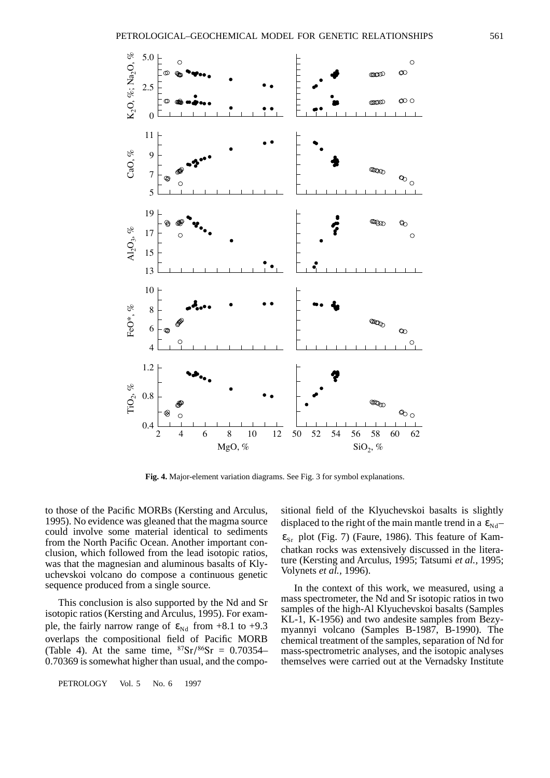

**Fig. 4.** Major-element variation diagrams. See Fig. 3 for symbol explanations.

to those of the Pacific MORBs (Kersting and Arculus, 1995). No evidence was gleaned that the magma source could involve some material identical to sediments from the North Pacific Ocean. Another important conclusion, which followed from the lead isotopic ratios, was that the magnesian and aluminous basalts of Klyuchevskoi volcano do compose a continuous genetic sequence produced from a single source.

This conclusion is also supported by the Nd and Sr isotopic ratios (Kersting and Arculus, 1995). For example, the fairly narrow range of  $\varepsilon_{Nd}$  from +8.1 to +9.3 overlaps the compositional field of Pacific MORB (Table 4). At the same time,  ${}^{87}Sr/{}^{86}Sr = 0.70354-$ 0.70369 is somewhat higher than usual, and the compo-

PETROLOGY Vol. 5 No. 6 1997

sitional field of the Klyuchevskoi basalts is slightly displaced to the right of the main mantle trend in a  $\epsilon_{Nd}$  $\varepsilon_{\text{Sr}}$  plot (Fig. 7) (Faure, 1986). This feature of Kamchatkan rocks was extensively discussed in the literature (Kersting and Arculus, 1995; Tatsumi *et al.,* 1995; Volynets *et al.,* 1996).

In the context of this work, we measured, using a mass spectrometer, the Nd and Sr isotopic ratios in two samples of the high-Al Klyuchevskoi basalts (Samples KL-1, K-1956) and two andesite samples from Bezymyannyi volcano (Samples B-1987, B-1990). The chemical treatment of the samples, separation of Nd for mass-spectrometric analyses, and the isotopic analyses themselves were carried out at the Vernadsky Institute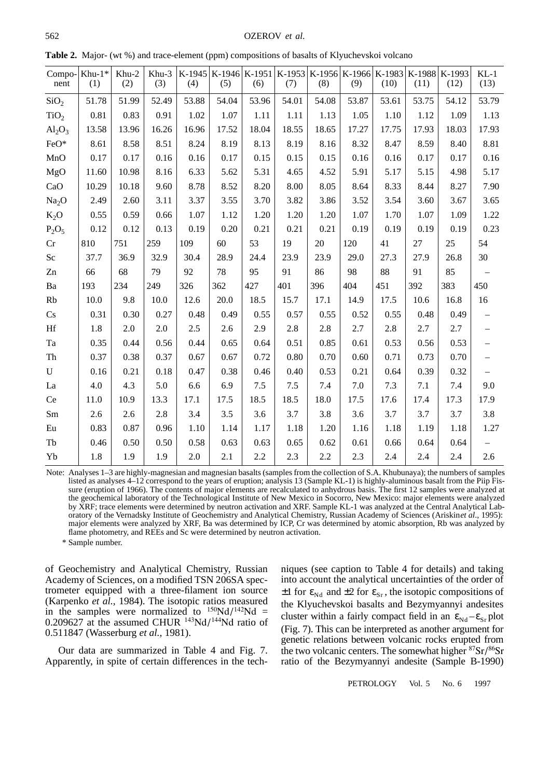| nent              | Compo- $\vert$ Khu- $1^*$<br>(1) | Khu-2<br>(2) | Khu-3<br>(3) | (4)   | K-1945   K-1946   K-1951   K-1953   K-1956   K-1966   K-1983   K-1988   K-1993<br>(5) | (6)   | (7)   | (8)   | (9)   | (10)    | (11)  | (12)  | $KL-1$<br>(13) |
|-------------------|----------------------------------|--------------|--------------|-------|---------------------------------------------------------------------------------------|-------|-------|-------|-------|---------|-------|-------|----------------|
| SiO <sub>2</sub>  | 51.78                            | 51.99        | 52.49        | 53.88 | 54.04                                                                                 | 53.96 | 54.01 | 54.08 | 53.87 | 53.61   | 53.75 | 54.12 | 53.79          |
| TiO <sub>2</sub>  | 0.81                             | 0.83         | 0.91         | 1.02  | 1.07                                                                                  | 1.11  | 1.11  | 1.13  | 1.05  | 1.10    | 1.12  | 1.09  | 1.13           |
| $Al_2O_3$         | 13.58                            | 13.96        | 16.26        | 16.96 | 17.52                                                                                 | 18.04 | 18.55 | 18.65 | 17.27 | 17.75   | 17.93 | 18.03 | 17.93          |
| FeO*              | 8.61                             | 8.58         | 8.51         | 8.24  | 8.19                                                                                  | 8.13  | 8.19  | 8.16  | 8.32  | 8.47    | 8.59  | 8.40  | 8.81           |
| MnO               | 0.17                             | 0.17         | 0.16         | 0.16  | 0.17                                                                                  | 0.15  | 0.15  | 0.15  | 0.16  | 0.16    | 0.17  | 0.17  | 0.16           |
| MgO               | 11.60                            | 10.98        | 8.16         | 6.33  | 5.62                                                                                  | 5.31  | 4.65  | 4.52  | 5.91  | 5.17    | 5.15  | 4.98  | 5.17           |
| CaO               | 10.29                            | 10.18        | 9.60         | 8.78  | 8.52                                                                                  | 8.20  | 8.00  | 8.05  | 8.64  | 8.33    | 8.44  | 8.27  | 7.90           |
| Na <sub>2</sub> O | 2.49                             | 2.60         | 3.11         | 3.37  | 3.55                                                                                  | 3.70  | 3.82  | 3.86  | 3.52  | 3.54    | 3.60  | 3.67  | 3.65           |
| $K_2O$            | 0.55                             | 0.59         | 0.66         | 1.07  | 1.12                                                                                  | 1.20  | 1.20  | 1.20  | 1.07  | 1.70    | 1.07  | 1.09  | 1.22           |
| $P_2O_5$          | 0.12                             | 0.12         | 0.13         | 0.19  | 0.20                                                                                  | 0.21  | 0.21  | 0.21  | 0.19  | 0.19    | 0.19  | 0.19  | 0.23           |
| Cr                | 810                              | 751          | 259          | 109   | 60                                                                                    | 53    | 19    | 20    | 120   | 41      | 27    | 25    | 54             |
| $\rm Sc$          | 37.7                             | 36.9         | 32.9         | 30.4  | 28.9                                                                                  | 24.4  | 23.9  | 23.9  | 29.0  | 27.3    | 27.9  | 26.8  | 30             |
| Zn                | 66                               | 68           | 79           | 92    | 78                                                                                    | 95    | 91    | 86    | 98    | 88      | 91    | 85    |                |
| Ba                | 193                              | 234          | 249          | 326   | 362                                                                                   | 427   | 401   | 396   | 404   | 451     | 392   | 383   | 450            |
| Rb                | 10.0                             | 9.8          | 10.0         | 12.6  | 20.0                                                                                  | 18.5  | 15.7  | 17.1  | 14.9  | 17.5    | 10.6  | 16.8  | 16             |
| Cs                | 0.31                             | 0.30         | 0.27         | 0.48  | 0.49                                                                                  | 0.55  | 0.57  | 0.55  | 0.52  | 0.55    | 0.48  | 0.49  |                |
| $\rm Hf$          | 1.8                              | 2.0          | 2.0          | 2.5   | 2.6                                                                                   | 2.9   | 2.8   | 2.8   | 2.7   | 2.8     | 2.7   | 2.7   |                |
| Ta                | 0.35                             | 0.44         | 0.56         | 0.44  | 0.65                                                                                  | 0.64  | 0.51  | 0.85  | 0.61  | 0.53    | 0.56  | 0.53  |                |
| Th                | 0.37                             | 0.38         | 0.37         | 0.67  | 0.67                                                                                  | 0.72  | 0.80  | 0.70  | 0.60  | 0.71    | 0.73  | 0.70  |                |
| ${\bf U}$         | 0.16                             | 0.21         | 0.18         | 0.47  | 0.38                                                                                  | 0.46  | 0.40  | 0.53  | 0.21  | 0.64    | 0.39  | 0.32  |                |
| La                | 4.0                              | 4.3          | 5.0          | 6.6   | 6.9                                                                                   | 7.5   | 7.5   | 7.4   | 7.0   | 7.3     | 7.1   | 7.4   | 9.0            |
| Ce                | 11.0                             | 10.9         | 13.3         | 17.1  | 17.5                                                                                  | 18.5  | 18.5  | 18.0  | 17.5  | 17.6    | 17.4  | 17.3  | 17.9           |
| $\rm Sm$          | 2.6                              | 2.6          | 2.8          | 3.4   | 3.5                                                                                   | 3.6   | 3.7   | 3.8   | 3.6   | 3.7     | 3.7   | 3.7   | 3.8            |
| Eu                | 0.83                             | 0.87         | 0.96         | 1.10  | 1.14                                                                                  | 1.17  | 1.18  | 1.20  | 1.16  | 1.18    | 1.19  | 1.18  | 1.27           |
| Tb                | 0.46                             | 0.50         | 0.50         | 0.58  | 0.63                                                                                  | 0.63  | 0.65  | 0.62  | 0.61  | 0.66    | 0.64  | 0.64  |                |
| Yb                | 1.8                              | 1.9          | 1.9          | 2.0   | 2.1                                                                                   | 2.2   | 2.3   | 2.2   | 2.3   | $2.4\,$ | 2.4   | 2.4   | 2.6            |

**Table 2.** Major- (wt %) and trace-element (ppm) compositions of basalts of Klyuchevskoi volcano

Note: Analyses 1–3 are highly-magnesian and magnesian basalts (samples from the collection of S.A. Khubunaya); the numbers of samples listed as analyses 4–12 correspond to the years of eruption; analysis 13 (Sample KL-1) is highly-aluminous basalt from the Piip Fissure (eruption of 1966). The contents of major elements are recalculated to anhydrous basis. The first 12 samples were analyzed at the geochemical laboratory of the Technological Institute of New Mexico in Socorro, New Mexico: major elements were analyzed by XRF; trace elements were determined by neutron activation and XRF. Sample KL-1 was analyzed at the Central Analytical Laboratory of the Vernadsky Institute of Geochemistry and Analytical Chemistry, Russian Academy of Sciences (Ariskin *et al*., 1995): major elements were analyzed by XRF, Ba was determined by ICP, Cr was determined by atomic absorption, Rb was analyzed by flame photometry, and REEs and Sc were determined by neutron activation.

\* Sample number.

of Geochemistry and Analytical Chemistry, Russian Academy of Sciences, on a modified TSN 206SA spectrometer equipped with a three-filament ion source (Karpenko *et al.,* 1984). The isotopic ratios measured in the samples were normalized to  $150Nd/142Nd =$ 0.209627 at the assumed CHUR  $^{143}$ Nd/ $^{144}$ Nd ratio of 0.511847 (Wasserburg *et al.,* 1981).

Our data are summarized in Table 4 and Fig. 7. Apparently, in spite of certain differences in the techniques (see caption to Table 4 for details) and taking into account the analytical uncertainties of the order of  $\pm 1$  for  $\varepsilon_{\text{Nd}}$  and  $\pm 2$  for  $\varepsilon_{\text{Sr}}$ , the isotopic compositions of the Klyuchevskoi basalts and Bezymyannyi andesites cluster within a fairly compact field in an  $\varepsilon_{Nd} - \varepsilon_{Sr}$  plot (Fig. 7). This can be interpreted as another argument for genetic relations between volcanic rocks erupted from the two volcanic centers. The somewhat higher  $87Sr/86Sr$ ratio of the Bezymyannyi andesite (Sample B-1990)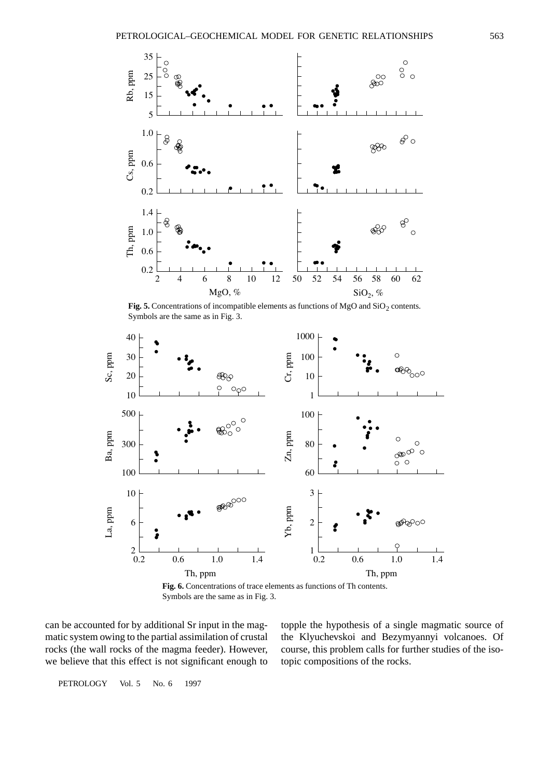

Fig. 5. Concentrations of incompatible elements as functions of MgO and  $SiO<sub>2</sub>$  contents. Symbols are the same as in Fig. 3.



**Fig. 6.** Concentrations of trace elements as functions of Th contents. Symbols are the same as in Fig. 3.

can be accounted for by additional Sr input in the magmatic system owing to the partial assimilation of crustal rocks (the wall rocks of the magma feeder). However, we believe that this effect is not significant enough to topple the hypothesis of a single magmatic source of the Klyuchevskoi and Bezymyannyi volcanoes. Of course, this problem calls for further studies of the isotopic compositions of the rocks.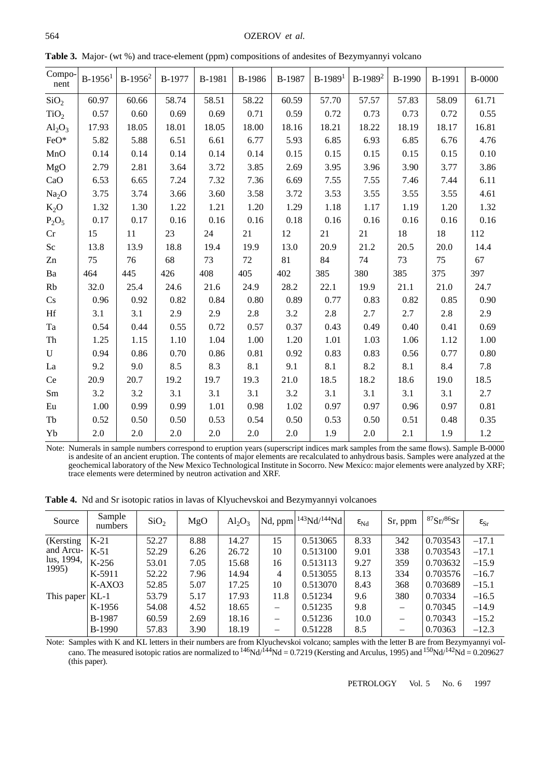| Compo-<br>nent          | $B-1956$ <sup>1</sup> | $B-1956^2$ | B-1977 | B-1981 | B-1986 | B-1987 | $B-1989$ <sup>1</sup> | $B-1989^2$ | B-1990 | B-1991 | <b>B-0000</b> |
|-------------------------|-----------------------|------------|--------|--------|--------|--------|-----------------------|------------|--------|--------|---------------|
| SiO <sub>2</sub>        | 60.97                 | 60.66      | 58.74  | 58.51  | 58.22  | 60.59  | 57.70                 | 57.57      | 57.83  | 58.09  | 61.71         |
| TiO <sub>2</sub>        | 0.57                  | 0.60       | 0.69   | 0.69   | 0.71   | 0.59   | 0.72                  | 0.73       | 0.73   | 0.72   | 0.55          |
| $Al_2O_3$               | 17.93                 | 18.05      | 18.01  | 18.05  | 18.00  | 18.16  | 18.21                 | 18.22      | 18.19  | 18.17  | 16.81         |
| FeO*                    | 5.82                  | 5.88       | 6.51   | 6.61   | 6.77   | 5.93   | 6.85                  | 6.93       | 6.85   | 6.76   | 4.76          |
| MnO                     | 0.14                  | 0.14       | 0.14   | 0.14   | 0.14   | 0.15   | 0.15                  | 0.15       | 0.15   | 0.15   | 0.10          |
| MgO                     | 2.79                  | 2.81       | 3.64   | 3.72   | 3.85   | 2.69   | 3.95                  | 3.96       | 3.90   | 3.77   | 3.86          |
| CaO                     | 6.53                  | 6.65       | 7.24   | 7.32   | 7.36   | 6.69   | 7.55                  | 7.55       | 7.46   | 7.44   | 6.11          |
| Na <sub>2</sub> O       | 3.75                  | 3.74       | 3.66   | 3.60   | 3.58   | 3.72   | 3.53                  | 3.55       | 3.55   | 3.55   | 4.61          |
| $K_2O$                  | 1.32                  | 1.30       | 1.22   | 1.21   | 1.20   | 1.29   | 1.18                  | 1.17       | 1.19   | 1.20   | 1.32          |
| $P_2O_5$                | 0.17                  | 0.17       | 0.16   | 0.16   | 0.16   | 0.18   | 0.16                  | 0.16       | 0.16   | 0.16   | 0.16          |
| Cr                      | 15                    | 11         | 23     | 24     | 21     | 12     | 21                    | 21         | 18     | 18     | 112           |
| $\rm Sc$                | 13.8                  | 13.9       | 18.8   | 19.4   | 19.9   | 13.0   | 20.9                  | 21.2       | 20.5   | 20.0   | 14.4          |
| Zn                      | 75                    | 76         | 68     | 73     | 72     | 81     | 84                    | 74         | 73     | 75     | 67            |
| $\mathbf{B} \mathbf{a}$ | 464                   | 445        | 426    | 408    | 405    | 402    | 385                   | 380        | 385    | 375    | 397           |
| Rb                      | 32.0                  | 25.4       | 24.6   | 21.6   | 24.9   | 28.2   | 22.1                  | 19.9       | 21.1   | 21.0   | 24.7          |
| Cs                      | 0.96                  | 0.92       | 0.82   | 0.84   | 0.80   | 0.89   | 0.77                  | 0.83       | 0.82   | 0.85   | 0.90          |
| Hf                      | 3.1                   | 3.1        | 2.9    | 2.9    | 2.8    | 3.2    | 2.8                   | 2.7        | 2.7    | 2.8    | 2.9           |
| Ta                      | 0.54                  | 0.44       | 0.55   | 0.72   | 0.57   | 0.37   | 0.43                  | 0.49       | 0.40   | 0.41   | 0.69          |
| Th                      | 1.25                  | 1.15       | 1.10   | 1.04   | 1.00   | 1.20   | 1.01                  | 1.03       | 1.06   | 1.12   | 1.00          |
| $\mathbf U$             | 0.94                  | 0.86       | 0.70   | 0.86   | 0.81   | 0.92   | 0.83                  | 0.83       | 0.56   | 0.77   | 0.80          |
| La                      | 9.2                   | 9.0        | 8.5    | 8.3    | 8.1    | 9.1    | 8.1                   | 8.2        | 8.1    | 8.4    | 7.8           |
| Ce                      | 20.9                  | 20.7       | 19.2   | 19.7   | 19.3   | 21.0   | 18.5                  | 18.2       | 18.6   | 19.0   | 18.5          |
| $\rm Sm$                | 3.2                   | 3.2        | 3.1    | 3.1    | 3.1    | 3.2    | 3.1                   | 3.1        | 3.1    | 3.1    | 2.7           |
| Eu                      | 1.00                  | 0.99       | 0.99   | 1.01   | 0.98   | 1.02   | 0.97                  | 0.97       | 0.96   | 0.97   | 0.81          |
| Tb                      | 0.52                  | 0.50       | 0.50   | 0.53   | 0.54   | 0.50   | 0.53                  | 0.50       | 0.51   | 0.48   | 0.35          |
| Yb                      | 2.0                   | 2.0        | 2.0    | 2.0    | 2.0    | 2.0    | 1.9                   | 2.0        | 2.1    | 1.9    | 1.2           |

**Table 3.** Major- (wt %) and trace-element (ppm) compositions of andesites of Bezymyannyi volcano

Note: Numerals in sample numbers correspond to eruption years (superscript indices mark samples from the same flows). Sample B-0000 is andesite of an ancient eruption. The contents of major elements are recalculated to anhydrous basis. Samples were analyzed at the geochemical laboratory of the New Mexico Technological Institute in Socorro. New Mexico: major elements were analyzed by XRF; trace elements were determined by neutron activation and XRF.

**Table 4.** Nd and Sr isotopic ratios in lavas of Klyuchevskoi and Bezymyannyi volcanoes

| Source            | Sample<br>numbers | SiO <sub>2</sub> | MgO  | $Al_2O_3$ |      | $\vert$ Nd, ppm $\vert$ <sup>143</sup> Nd/ <sup>144</sup> Nd $\vert$ | $\varepsilon_{Nd}$ | Sr, ppm | ${}^{87}Sr/{}^{86}Sr$ | $\varepsilon_{\rm Sr}$ |
|-------------------|-------------------|------------------|------|-----------|------|----------------------------------------------------------------------|--------------------|---------|-----------------------|------------------------|
| (Kersting)        | $K-21$            | 52.27            | 8.88 | 14.27     | 15   | 0.513065                                                             | 8.33               | 342     | 0.703543              | $-17.1$                |
| and Arcu-         | $K-51$            | 52.29            | 6.26 | 26.72     | 10   | 0.513100                                                             | 9.01               | 338     | 0.703543              | $-17.1$                |
| lus, 1994,        | $K-256$           | 53.01            | 7.05 | 15.68     | 16   | 0.513113                                                             | 9.27               | 359     | 0.703632              | $-15.9$                |
| 1995)             | K-5911            | 52.22            | 7.96 | 14.94     | 4    | 0.513055                                                             | 8.13               | 334     | 0.703576              | $-16.7$                |
|                   | $K-AXO3$          | 52.85            | 5.07 | 17.25     | 10   | 0.513070                                                             | 8.43               | 368     | 0.703689              | $-15.1$                |
| This paper $KL-1$ |                   | 53.79            | 5.17 | 17.93     | 11.8 | 0.51234                                                              | 9.6                | 380     | 0.70334               | $-16.5$                |
|                   | K-1956            | 54.08            | 4.52 | 18.65     |      | 0.51235                                                              | 9.8                |         | 0.70345               | $-14.9$                |
|                   | B-1987            | 60.59            | 2.69 | 18.16     |      | 0.51236                                                              | 10.0               |         | 0.70343               | $-15.2$                |
|                   | <b>B-1990</b>     | 57.83            | 3.90 | 18.19     |      | 0.51228                                                              | 8.5                |         | 0.70363               | $-12.3$                |

Note: Samples with K and KL letters in their numbers are from Klyuchevskoi volcano; samples with the letter B are from Bezymyannyi volcano. The measured isotopic ratios are normalized to  $^{146}Nd^{144}Nd = 0.7219$  (Kersting and Arculus, 1995) and  $^{150}Nd^{142}Nd = 0.209627$ (this paper).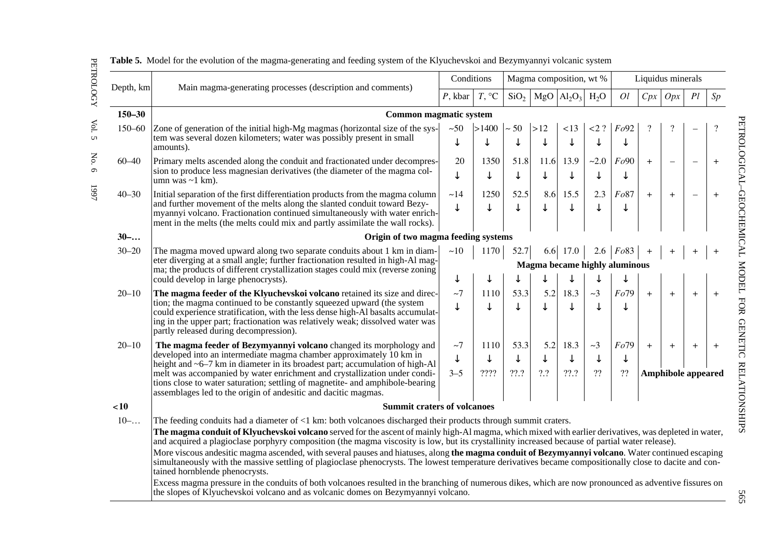|            |                                                                                                                                                                                                                                                                                                                                                                   | Conditions                                                                          |                  |                  | Magma composition, wt % |                                     | Liquidus minerals |                |     |                           |                          |                   |
|------------|-------------------------------------------------------------------------------------------------------------------------------------------------------------------------------------------------------------------------------------------------------------------------------------------------------------------------------------------------------------------|-------------------------------------------------------------------------------------|------------------|------------------|-------------------------|-------------------------------------|-------------------|----------------|-----|---------------------------|--------------------------|-------------------|
| Depth, km  | Main magma-generating processes (description and comments)                                                                                                                                                                                                                                                                                                        | $P$ , kbar                                                                          | $T, \,^{\circ}C$ | SiO <sub>2</sub> |                         | MgO  Al <sub>2</sub> O <sub>3</sub> | $H_2O$            | O <sub>l</sub> | Cpx | Opx                       | Pl                       | Sp                |
| $150 - 30$ | Common magmatic system                                                                                                                                                                                                                                                                                                                                            |                                                                                     |                  |                  |                         |                                     |                   |                |     |                           |                          |                   |
| 150-60     | Zone of generation of the initial high-Mg magmas (horizontal size of the sys-<br>tem was several dozen kilometers; water was possibly present in small<br>amounts).                                                                                                                                                                                               | $~1$ -50<br>↓                                                                       | >1400<br>↓       | $\sim$ 50<br>↓   | >12<br>↓                | <13<br>$\downarrow$                 | $<$ 2 ?<br>↓      | Fo92<br>↓      |     | ?                         |                          |                   |
| $60 - 40$  | Primary melts ascended along the conduit and fractionated under decompres-<br>sion to produce less magnesian derivatives (the diameter of the magma col-<br>umn was $\sim$ 1 km).                                                                                                                                                                                 | 20<br>↓                                                                             | 1350<br>↓        | 51.8<br>↓        | 11.6                    | 13.9<br>$\downarrow$                | $-2.0$<br>↓       | Fo90<br>↓      | $+$ |                           |                          | $+$               |
| $40 - 30$  | Initial separation of the first differentiation products from the magma column<br>and further movement of the melts along the slanted conduit toward Bezy-<br>myannyi volcano. Fractionation continued simultaneously with water enrich-<br>ment in the melts (the melts could mix and partly assimilate the wall rocks).                                         | ~14                                                                                 | 1250<br>↓        | 52.5<br>↓        | 8.6<br>↓                | 15.5<br>↓                           | 2.3<br>↓          | Fo87<br>↓      | $+$ | $+$                       | $\overline{\phantom{0}}$ | $\qquad \qquad +$ |
| $30-.$     | Origin of two magma feeding systems                                                                                                                                                                                                                                                                                                                               |                                                                                     |                  |                  |                         |                                     |                   |                |     |                           |                          |                   |
| $30 - 20$  | The magma moved upward along two separate conduits about 1 km in diam-<br>eter diverging at a small angle; further fractionation resulted in high-Al mag-<br>ma; the products of different crystallization stages could mix (reverse zoning                                                                                                                       | ~10<br>1170<br>52.7<br>2.6   $Fo83$<br>6.6<br>17.0<br>Magma became highly aluminous |                  |                  |                         |                                     |                   |                |     |                           |                          |                   |
|            | could develop in large phenocrysts).                                                                                                                                                                                                                                                                                                                              | ↓                                                                                   | ↓                |                  |                         |                                     | ↓                 | ↓              |     |                           |                          |                   |
| $20 - 10$  | The magma feeder of the Klyuchevskoi volcano retained its size and direc-<br>tion; the magma continued to be constantly squeezed upward (the system<br>could experience stratification, with the less dense high-Al basalts accumulat-<br>ing in the upper part; fractionation was relatively weak; dissolved water was<br>partly released during decompression). | ~1                                                                                  | 1110             | 53.3             | 5.2                     | 18.3<br>↓                           | $\sim$ 3          | Fo79<br>↓      | $+$ | $+$                       | $+$                      | $+$               |
| $20 - 10$  | The magma feeder of Bezymyannyi volcano changed its morphology and                                                                                                                                                                                                                                                                                                | $\sim$ 7                                                                            | 1110             | 53.3             | 5.2                     | 18.3                                | $\sim$ 3          | Fo79           | $+$ | $\ddot{}$                 | $+$                      | $+$               |
|            | developed into an intermediate magma chamber approximately 10 km in<br>height and ~6–7 km in diameter in its broadest part; accumulation of high-Al                                                                                                                                                                                                               | ↓                                                                                   | ↓                | ↓                |                         | $\downarrow$                        | ↓                 | ↓              |     |                           |                          |                   |
|            | melt was accompanied by water enrichment and crystallization under condi-<br>tions close to water saturation; settling of magnetite- and amphibole-bearing<br>assemblages led to the origin of andesitic and dacitic magmas.                                                                                                                                      | $3 - 5$                                                                             | ????             | $??\cdot ?$      | ?.?                     | ??.?                                | ??                | ??             |     | <b>Amphibole appeared</b> |                          |                   |
| ~10        | <b>Summit craters of volcanoes</b>                                                                                                                                                                                                                                                                                                                                |                                                                                     |                  |                  |                         |                                     |                   |                |     |                           |                          |                   |
| $10-.$     | The feeding conduits had a diameter of $\leq 1$ km: both volcanoes discharged their products through summit craters.                                                                                                                                                                                                                                              |                                                                                     |                  |                  |                         |                                     |                   |                |     |                           |                          |                   |
|            | The magma conduit of Klyuchevskoi volcano served for the ascent of mainly high-Al magma, which mixed with earlier derivatives, was depleted in water,<br>and acquired a plagioclase porphyry composition (the magma viscosity is low, but its crystallinity increased because of partial water release).                                                          |                                                                                     |                  |                  |                         |                                     |                   |                |     |                           |                          |                   |
|            | More viscous andesitic magma ascended, with several pauses and hiatuses, along the magma conduit of Bezymyannyi volcano. Water continued escaping<br>simultaneously with the massive settling of plagioclase phenocrysts. The lowest temperature derivatives became compositionally close to dacite and con-<br>tained hornblende phenocrysts.                    |                                                                                     |                  |                  |                         |                                     |                   |                |     |                           |                          |                   |
|            | Excess magma pressure in the conduits of both volcanoes resulted in the branching of numerous dikes, which are now pronounced as adventive fissures on<br>the slopes of Klyuchevskoi volcano and as volcanic domes on Bezymyannyi volcano.                                                                                                                        |                                                                                     |                  |                  |                         |                                     |                   |                |     |                           |                          |                   |

**Table 5.** Model for the evolution of the magma-generating and feeding system of the Klyuchevskoi and Bezymyannyi volcanic system

565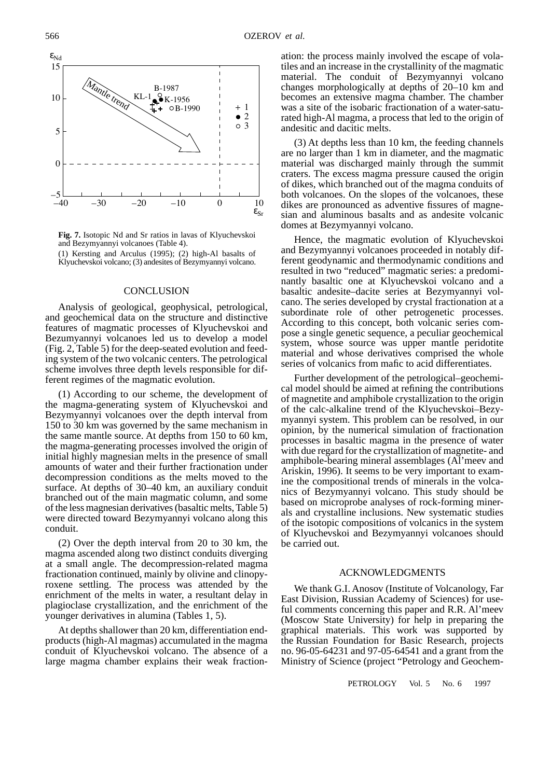

**Fig. 7.** Isotopic Nd and Sr ratios in lavas of Klyuchevskoi and Bezymyannyi volcanoes (Table 4).

(1) Kersting and Arculus (1995); (2) high-Al basalts of Klyuchevskoi volcano; (3) andesites of Bezymyannyi volcano.

# **CONCLUSION**

Analysis of geological, geophysical, petrological, and geochemical data on the structure and distinctive features of magmatic processes of Klyuchevskoi and Bezumyannyi volcanoes led us to develop a model (Fig. 2, Table 5) for the deep-seated evolution and feeding system of the two volcanic centers. The petrological scheme involves three depth levels responsible for different regimes of the magmatic evolution.

(1) According to our scheme, the development of the magma-generating system of Klyuchevskoi and Bezymyannyi volcanoes over the depth interval from 150 to 30 km was governed by the same mechanism in the same mantle source. At depths from 150 to 60 km, the magma-generating processes involved the origin of initial highly magnesian melts in the presence of small amounts of water and their further fractionation under decompression conditions as the melts moved to the surface. At depths of 30–40 km, an auxiliary conduit branched out of the main magmatic column, and some of the less magnesian derivatives (basaltic melts, Table 5) were directed toward Bezymyannyi volcano along this conduit.

(2) Over the depth interval from 20 to 30 km, the magma ascended along two distinct conduits diverging at a small angle. The decompression-related magma fractionation continued, mainly by olivine and clinopyroxene settling. The process was attended by the enrichment of the melts in water, a resultant delay in plagioclase crystallization, and the enrichment of the younger derivatives in alumina (Tables 1, 5).

At depths shallower than 20 km, differentiation endproducts (high-Al magmas) accumulated in the magma conduit of Klyuchevskoi volcano. The absence of a large magma chamber explains their weak fractionation: the process mainly involved the escape of volatiles and an increase in the crystallinity of the magmatic material. The conduit of Bezymyannyi volcano changes morphologically at depths of 20–10 km and becomes an extensive magma chamber. The chamber was a site of the isobaric fractionation of a water-saturated high-Al magma, a process that led to the origin of andesitic and dacitic melts.

(3) At depths less than 10 km, the feeding channels are no larger than 1 km in diameter, and the magmatic material was discharged mainly through the summit craters. The excess magma pressure caused the origin of dikes, which branched out of the magma conduits of both volcanoes. On the slopes of the volcanoes, these dikes are pronounced as adventive fissures of magnesian and aluminous basalts and as andesite volcanic domes at Bezymyannyi volcano.

Hence, the magmatic evolution of Klyuchevskoi and Bezymyannyi volcanoes proceeded in notably different geodynamic and thermodynamic conditions and resulted in two "reduced" magmatic series: a predominantly basaltic one at Klyuchevskoi volcano and a basaltic andesite–dacite series at Bezymyannyi volcano. The series developed by crystal fractionation at a subordinate role of other petrogenetic processes. According to this concept, both volcanic series compose a single genetic sequence, a peculiar geochemical system, whose source was upper mantle peridotite material and whose derivatives comprised the whole series of volcanics from mafic to acid differentiates.

Further development of the petrological–geochemical model should be aimed at refining the contributions of magnetite and amphibole crystallization to the origin of the calc-alkaline trend of the Klyuchevskoi–Bezymyannyi system. This problem can be resolved, in our opinion, by the numerical simulation of fractionation processes in basaltic magma in the presence of water with due regard for the crystallization of magnetite- and amphibole-bearing mineral assemblages (Al'meev and Ariskin, 1996). It seems to be very important to examine the compositional trends of minerals in the volcanics of Bezymyannyi volcano. This study should be based on microprobe analyses of rock-forming minerals and crystalline inclusions. New systematic studies of the isotopic compositions of volcanics in the system of Klyuchevskoi and Bezymyannyi volcanoes should be carried out.

#### ACKNOWLEDGMENTS

We thank G.I. Anosov (Institute of Volcanology, Far East Division, Russian Academy of Sciences) for useful comments concerning this paper and R.R. Al'meev (Moscow State University) for help in preparing the graphical materials. This work was supported by the Russian Foundation for Basic Research, projects no. 96-05-64231 and 97-05-64541 and a grant from the Ministry of Science (project "Petrology and Geochem-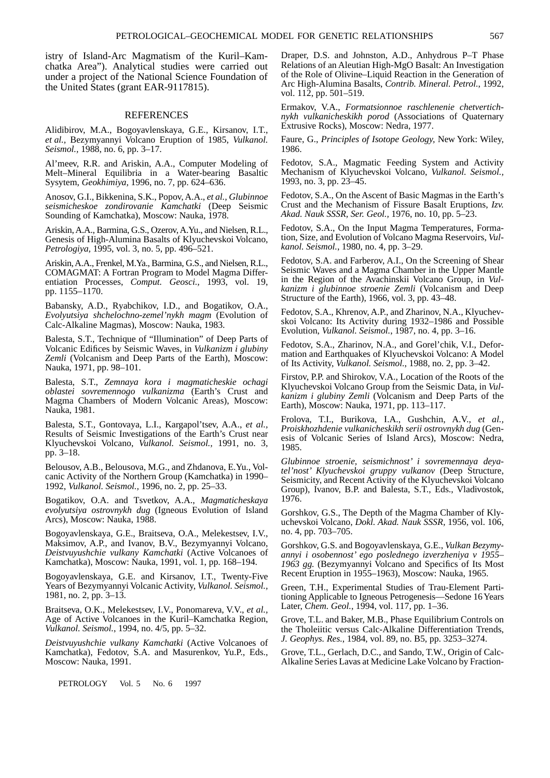istry of Island-Arc Magmatism of the Kuril–Kamchatka Area"). Analytical studies were carried out under a project of the National Science Foundation of the United States (grant EAR-9117815).

## REFERENCES

Alidibirov, M.A., Bogoyavlenskaya, G.E., Kirsanov, I.T., *et al.,* Bezymyannyi Volcano Eruption of 1985, *Vulkanol. Seismol.,* 1988, no. 6, pp. 3–17.

Al'meev, R.R. and Ariskin, A.A., Computer Modeling of Melt–Mineral Equilibria in a Water-bearing Basaltic Sysytem, *Geokhimiya,* 1996, no. 7, pp. 624–636.

Anosov, G.I., Bikkenina, S.K., Popov, A.A., *et al., Glubinnoe seismicheskoe zondirovanie Kamchatki* (Deep Seismic Sounding of Kamchatka), Moscow: Nauka, 1978.

Ariskin, A.A., Barmina, G.S., Ozerov, A.Yu., and Nielsen, R.L., Genesis of High-Alumina Basalts of Klyuchevskoi Volcano, *Petrologiya,* 1995, vol. 3, no. 5, pp. 496–521.

Ariskin, A.A., Frenkel, M.Ya., Barmina, G.S., and Nielsen, R.L., COMAGMAT: A Fortran Program to Model Magma Differentiation Processes, *Comput. Geosci.,* 1993, vol. 19, pp. 1155–1170.

Babansky, A.D., Ryabchikov, I.D., and Bogatikov, O.A., *Evolyutsiya shchelochno-zemel'nykh magm* (Evolution of Calc-Alkaline Magmas), Moscow: Nauka, 1983.

Balesta, S.T., Technique of "Illumination" of Deep Parts of Volcanic Edifices by Seismic Waves, in *Vulkanizm i glubiny Zemli* (Volcanism and Deep Parts of the Earth), Moscow: Nauka, 1971, pp. 98–101.

Balesta, S.T., *Zemnaya kora i magmaticheskie ochagi oblastei sovremennogo vulkanizma* (Earth's Crust and Magma Chambers of Modern Volcanic Areas), Moscow: Nauka, 1981.

Balesta, S.T., Gontovaya, L.I., Kargapol'tsev, A.A., *et al.,* Results of Seismic Investigations of the Earth's Crust near Klyuchevskoi Volcano, *Vulkanol. Seismol.,* 1991, no. 3, pp. 3–18.

Belousov, A.B., Belousova, M.G., and Zhdanova, E.Yu., Volcanic Activity of the Northern Group (Kamchatka) in 1990– 1992, *Vulkanol. Seismol.,* 1996, no. 2, pp. 25–33.

Bogatikov, O.A. and Tsvetkov, A.A., *Magmaticheskaya evolyutsiya ostrovnykh dug* (Igneous Evolution of Island Arcs), Moscow: Nauka, 1988.

Bogoyavlenskaya, G.E., Braitseva, O.A., Melekestsev, I.V., Maksimov, A.P., and Ivanov, B.V., Bezymyannyi Volcano, *Deistvuyushchie vulkany Kamchatki* (Active Volcanoes of Kamchatka), Moscow: Nauka, 1991, vol. 1, pp. 168–194.

Bogoyavlenskaya, G.E. and Kirsanov, I.T., Twenty-Five Years of Bezymyannyi Volcanic Activity, *Vulkanol. Seismol.,* 1981, no. 2, pp. 3–13.

Braitseva, O.K., Melekestsev, I.V., Ponomareva, V.V., *et al.,* Age of Active Volcanoes in the Kuril–Kamchatka Region, *Vulkanol. Seismol.*, 1994, no. 4/5, pp. 5–32.

*Deistvuyushchie vulkany Kamchatki* (Active Volcanoes of Kamchatka), Fedotov, S.A. and Masurenkov, Yu.P., Eds., Moscow: Nauka, 1991.

Draper, D.S. and Johnston, A.D., Anhydrous P–T Phase Relations of an Aleutian High-MgO Basalt: An Investigation of the Role of Olivine–Liquid Reaction in the Generation of Arc High-Alumina Basalts, *Contrib. Mineral. Petrol.*, 1992, vol. 112, pp. 501–519.

Ermakov, V.A., *Formatsionnoe raschlenenie chetvertichnykh vulkanicheskikh porod* (Associations of Quaternary Extrusive Rocks), Moscow: Nedra, 1977.

Faure, G., *Principles of Isotope Geology,* New York: Wiley, 1986.

Fedotov, S.A., Magmatic Feeding System and Activity Mechanism of Klyuchevskoi Volcano, *Vulkanol. Seismol.,* 1993, no. 3, pp. 23–45.

Fedotov, S.A., On the Ascent of Basic Magmas in the Earth's Crust and the Mechanism of Fissure Basalt Eruptions, *Izv. Akad. Nauk SSSR, Ser. Geol.,* 1976, no. 10, pp. 5–23.

Fedotov, S.A., On the Input Magma Temperatures, Formation, Size, and Evolution of Volcano Magma Reservoirs, *Vulkanol. Seismol.*, 1980, no. 4, pp. 3–29.

Fedotov, S.A. and Farberov, A.I., On the Screening of Shear Seismic Waves and a Magma Chamber in the Upper Mantle in the Region of the Avachinskii Volcano Group, in *Vulkanizm i glubinnoe stroenie Zemli* (Volcanism and Deep Structure of the Earth), 1966, vol. 3, pp. 43–48.

Fedotov, S.A., Khrenov, A.P., and Zharinov, N.A., Klyuchevskoi Volcano: Its Activity during 1932–1986 and Possible Evolution, *Vulkanol. Seismol.*, 1987, no. 4, pp. 3–16.

Fedotov, S.A., Zharinov, N.A., and Gorel'chik, V.I., Deformation and Earthquakes of Klyuchevskoi Volcano: A Model of Its Activity, *Vulkanol. Seismol.*, 1988, no. 2, pp. 3–42.

Firstov, P.P. and Shirokov, V.A., Location of the Roots of the Klyuchevskoi Volcano Group from the Seismic Data, in *Vulkanizm i glubiny Zemli* (Volcanism and Deep Parts of the Earth), Moscow: Nauka, 1971, pp. 113–117.

Frolova, T.I., Burikova, I.A., Gushchin, A.V., *et al., Proiskhozhdenie vulkanicheskikh serii ostrovnykh dug* (Genesis of Volcanic Series of Island Arcs), Moscow: Nedra, 1985.

*Glubinnoe stroenie, seismichnost' i sovremennaya deyatel'nost' Klyuchevskoi gruppy vulkanov* (Deep Structure, Seismicity, and Recent Activity of the Klyuchevskoi Volcano Group), Ivanov, B.P. and Balesta, S.T., Eds., Vladivostok, 1976.

Gorshkov, G.S., The Depth of the Magma Chamber of Klyuchevskoi Volcano, *Dokl. Akad. Nauk SSSR,* 1956, vol. 106, no. 4, pp. 703–705.

Gorshkov, G.S. and Bogoyavlenskaya, G.E., *Vulkan Bezymyannyi i osobennost' ego poslednego izverzheniya v 1955– 1963 gg.* (Bezymyannyi Volcano and Specifics of Its Most Recent Eruption in 1955–1963), Moscow: Nauka, 1965.

Green, T.H., Experimental Studies of Trau-Element Partitioning Applicable to Igneous Petrogenesis—Sedone 16 Years Later, *Chem. Geol.*, 1994, vol. 117, pp. 1–36.

Grove, T.L. and Baker, M.B., Phase Equilibrium Controls on the Tholeiitic versus Calc-Alkaline Differentiation Trends, *J. Geophys. Res.*, 1984, vol. 89, no. B5, pp. 3253–3274.

Grove, T.L., Gerlach, D.C., and Sando, T.W., Origin of Calc-Alkaline Series Lavas at Medicine Lake Volcano by Fraction-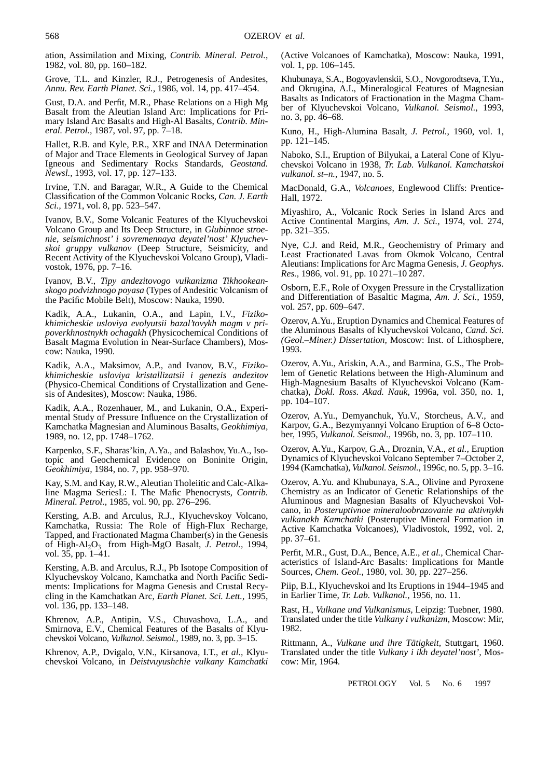ation, Assimilation and Mixing, *Contrib. Mineral. Petrol.*, 1982, vol. 80, pp. 160–182.

Grove, T.L. and Kinzler, R.J., Petrogenesis of Andesites, *Annu. Rev. Earth Planet. Sci.,* 1986, vol. 14, pp. 417–454.

Gust, D.A. and Perfit, M.R., Phase Relations on a High Mg Basalt from the Aleutian Island Arc: Implications for Primary Island Arc Basalts and High-Al Basalts, *Contrib. Mineral. Petrol.,* 1987, vol. 97, pp. 7–18.

Hallet, R.B. and Kyle, P.R., XRF and INAA Determination of Major and Trace Elements in Geological Survey of Japan Igneous and Sedimentary Rocks Standards, *Geostand. Newsl.,* 1993, vol. 17, pp. 127–133.

Irvine, T.N. and Baragar, W.R., A Guide to the Chemical Classification of the Common Volcanic Rocks, *Can. J. Earth Sci.,* 1971, vol. 8, pp. 523–547.

Ivanov, B.V., Some Volcanic Features of the Klyuchevskoi Volcano Group and Its Deep Structure, in *Glubinnoe stroenie, seismichnost' i sovremennaya deyatel'nost' Klyuchevskoi gruppy vulkanov* (Deep Structure, Seismicity, and Recent Activity of the Klyuchevskoi Volcano Group), Vladivostok, 1976, pp. 7–16.

Ivanov, B.V., *Tipy andezitovogo vulkanizma Tikhookeanskogo podvizhnogo poyasa* (Types of Andesitic Volcanism of the Pacific Mobile Belt), Moscow: Nauka, 1990.

Kadik, A.A., Lukanin, O.A., and Lapin, I.V., *Fizikokhimicheskie usloviya evolyutsii bazal'tovykh magm v pripoverkhnostnykh ochagakh* (Physicochemical Conditions of Basalt Magma Evolution in Near-Surface Chambers), Moscow: Nauka, 1990.

Kadik, A.A., Maksimov, A.P., and Ivanov, B.V., *Fizikokhimicheskie usloviya kristallizatsii i genezis andezitov* (Physico-Chemical Conditions of Crystallization and Genesis of Andesites), Moscow: Nauka, 1986.

Kadik, A.A., Rozenhauer, M., and Lukanin, O.A., Experimental Study of Pressure Influence on the Crystallization of Kamchatka Magnesian and Aluminous Basalts, *Geokhimiya,* 1989, no. 12, pp. 1748–1762.

Karpenko, S.F., Sharas'kin, A.Ya., and Balashov, Yu.A., Isotopic and Geochemical Evidence on Boninite Origin, *Geokhimiya,* 1984, no. 7, pp. 958–970.

Kay, S.M. and Kay, R.W., Aleutian Tholeiitic and Calc-Alkaline Magma SeriesL: I. The Mafic Phenocrysts, *Contrib. Mineral. Petrol.*, 1985, vol. 90, pp. 276–296.

Kersting, A.B. and Arculus, R.J., Klyuchevskoy Volcano, Kamchatka, Russia: The Role of High-Flux Recharge, Tapped, and Fractionated Magma Chamber(s) in the Genesis of High-Al<sub>2</sub>O<sub>3</sub> from High-MgO Basalt, *J. Petrol.*, 1994, vol. 35, pp. 1–41.

Kersting, A.B. and Arculus, R.J., Pb Isotope Composition of Klyuchevskoy Volcano, Kamchatka and North Pacific Sediments: Implications for Magma Genesis and Crustal Recycling in the Kamchatkan Arc, *Earth Planet. Sci. Lett.,* 1995, vol. 136, pp. 133–148.

Khrenov, A.P., Antipin, V.S., Chuvashova, L.A., and Smirnova, E.V., Chemical Features of the Basalts of Klyuchevskoi Volcano, *Vulkanol. Seismol.,* 1989, no. 3, pp. 3–15.

Khrenov, A.P., Dvigalo, V.N., Kirsanova, I.T., *et al.,* Klyuchevskoi Volcano, in *Deistvuyushchie vulkany Kamchatki* (Active Volcanoes of Kamchatka), Moscow: Nauka, 1991, vol. 1, pp. 106–145.

Khubunaya, S.A., Bogoyavlenskii, S.O., Novgorodtseva, T.Yu., and Okrugina, A.I., Mineralogical Features of Magnesian Basalts as Indicators of Fractionation in the Magma Chamber of Klyuchevskoi Volcano, *Vulkanol. Seismol.*, 1993, no. 3, pp. 46–68.

Kuno, H., High-Alumina Basalt, *J. Petrol.*, 1960, vol. 1, pp. 121–145.

Naboko, S.I., Eruption of Bilyukai, a Lateral Cone of Klyuchevskoi Volcano in 1938, *Tr. Lab. Vulkanol. Kamchatskoi vulkanol. st–n.,* 1947, no. 5.

MacDonald, G.A., *Volcanoes*, Englewood Cliffs: Prentice-Hall, 1972.

Miyashiro, A., Volcanic Rock Series in Island Arcs and Active Continental Margins, *Am. J. Sci.,* 1974, vol. 274, pp. 321–355.

Nye, C.J. and Reid, M.R., Geochemistry of Primary and Least Fractionated Lavas from Okmok Volcano, Central Aleutians: Implications for Arc Magma Genesis, *J. Geophys. Res.,* 1986, vol. 91, pp. 10 271–10 287.

Osborn, E.F., Role of Oxygen Pressure in the Crystallization and Differentiation of Basaltic Magma, *Am. J. Sci.,* 1959, vol. 257, pp. 609–647.

Ozerov, A.Yu., Eruption Dynamics and Chemical Features of the Aluminous Basalts of Klyuchevskoi Volcano, *Cand. Sci. (Geol.–Miner.) Dissertation,* Moscow: Inst. of Lithosphere, 1993.

Ozerov, A.Yu., Ariskin, A.A., and Barmina, G.S., The Problem of Genetic Relations between the High-Aluminum and High-Magnesium Basalts of Klyuchevskoi Volcano (Kamchatka), *Dokl. Ross. Akad. Nauk,* 1996a, vol. 350, no. 1, pp. 104–107.

Ozerov, A.Yu., Demyanchuk, Yu.V., Storcheus, A.V., and Karpov, G.A., Bezymyannyi Volcano Eruption of 6–8 October, 1995, *Vulkanol. Seismol.,* 1996b, no. 3, pp. 107–110.

Ozerov, A.Yu., Karpov, G.A., Droznin, V.A., *et al.,* Eruption Dynamics of Klyuchevskoi Volcano September 7–October 2, 1994 (Kamchatka), *Vulkanol. Seismol.,* 1996c, no. 5, pp. 3–16.

Ozerov, A.Yu. and Khubunaya, S.A., Olivine and Pyroxene Chemistry as an Indicator of Genetic Relationships of the Aluminous and Magnesian Basalts of Klyuchevskoi Volcano, in *Posteruptivnoe mineraloobrazovanie na aktivnykh vulkanakh Kamchatki* (Posteruptive Mineral Formation in Active Kamchatka Volcanoes), Vladivostok, 1992, vol. 2, pp. 37–61.

Perfit, M.R., Gust, D.A., Bence, A.E., *et al.,* Chemical Characteristics of Island-Arc Basalts: Implications for Mantle Sources, *Chem. Geol.,* 1980, vol. 30, pp. 227–256.

Piip, B.I., Klyuchevskoi and Its Eruptions in 1944–1945 and in Earlier Time, *Tr. Lab. Vulkanol.,* 1956, no. 11.

Rast, H., *Vulkane und Vulkanismus,* Leipzig: Tuebner, 1980. Translated under the title *Vulkany i vulkanizm,* Moscow: Mir, 1982.

Rittmann, A., *Vulkane und ihre Tätigkeit,* Stuttgart, 1960. Translated under the title *Vulkany i ikh deyatel'nost',* Moscow: Mir, 1964.